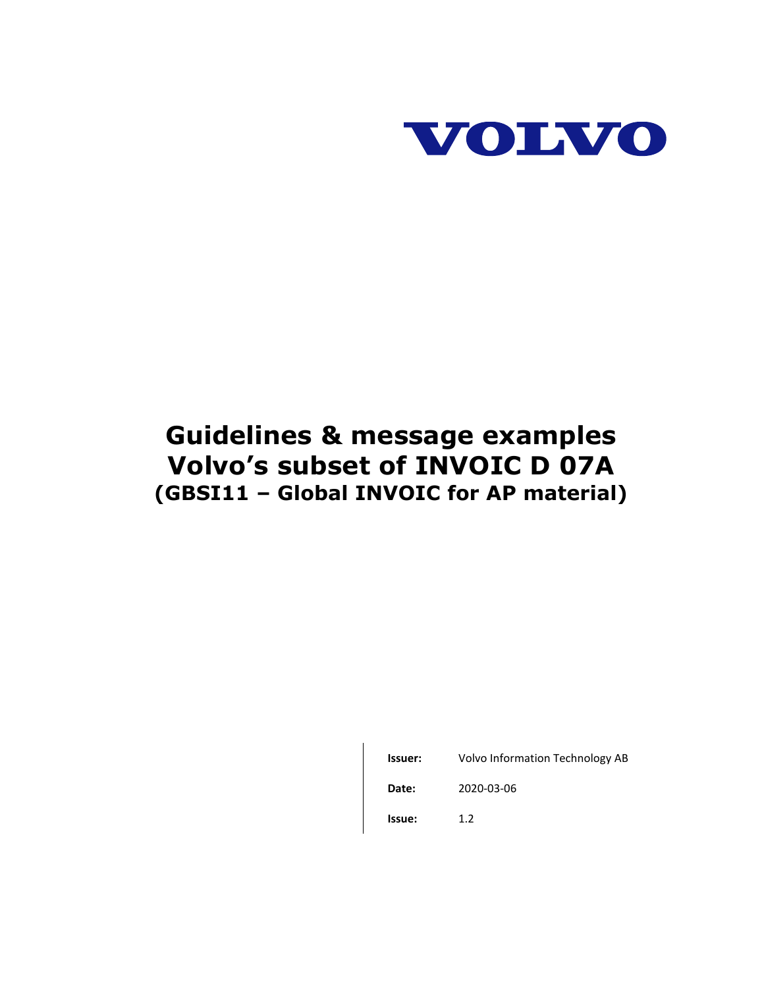

# **Guidelines & message examples Volvo's subset of INVOIC D 07A (GBSI11 – Global INVOIC for AP material)**

| Issuer: | Volvo Information Technology AB |
|---------|---------------------------------|
| Date:   | 2020-03-06                      |
| Issue:  | 12                              |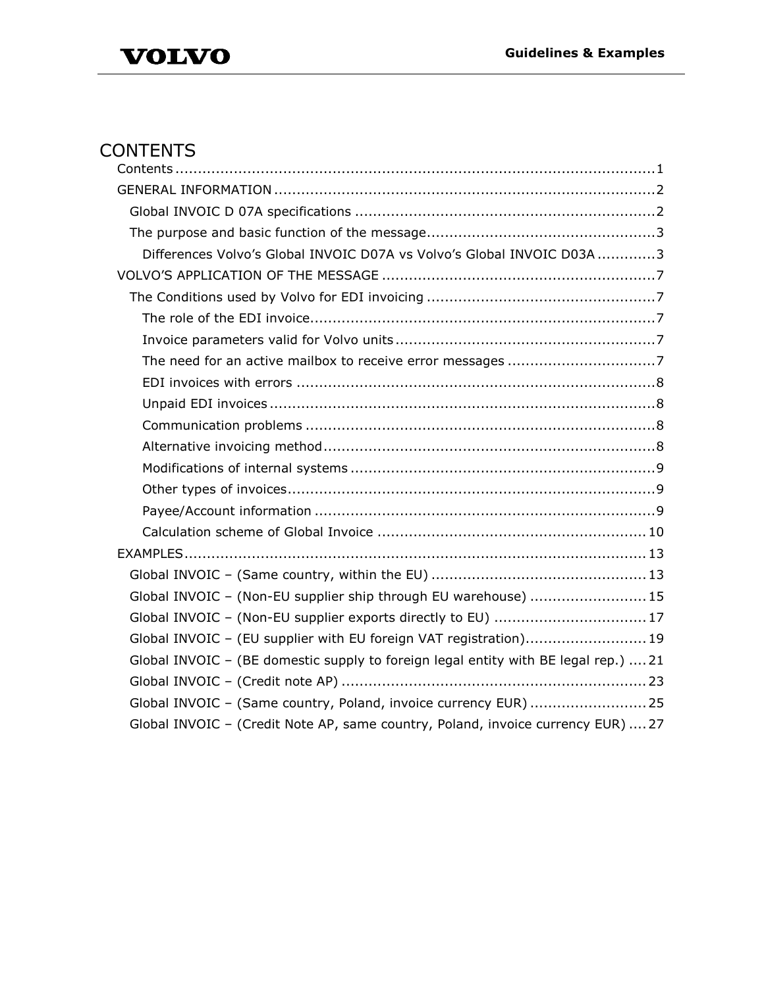# <span id="page-1-0"></span>**CONTENTS**

| Differences Volvo's Global INVOIC D07A vs Volvo's Global INVOIC D03A 3              |
|-------------------------------------------------------------------------------------|
|                                                                                     |
|                                                                                     |
|                                                                                     |
|                                                                                     |
|                                                                                     |
|                                                                                     |
|                                                                                     |
|                                                                                     |
|                                                                                     |
|                                                                                     |
|                                                                                     |
|                                                                                     |
|                                                                                     |
|                                                                                     |
|                                                                                     |
| Global INVOIC - (Non-EU supplier ship through EU warehouse) 15                      |
| Global INVOIC - (Non-EU supplier exports directly to EU)  17                        |
| Global INVOIC - (EU supplier with EU foreign VAT registration) 19                   |
| Global INVOIC - (BE domestic supply to foreign legal entity with BE legal rep.)  21 |
|                                                                                     |
| Global INVOIC - (Same country, Poland, invoice currency EUR) 25                     |
| Global INVOIC - (Credit Note AP, same country, Poland, invoice currency EUR)  27    |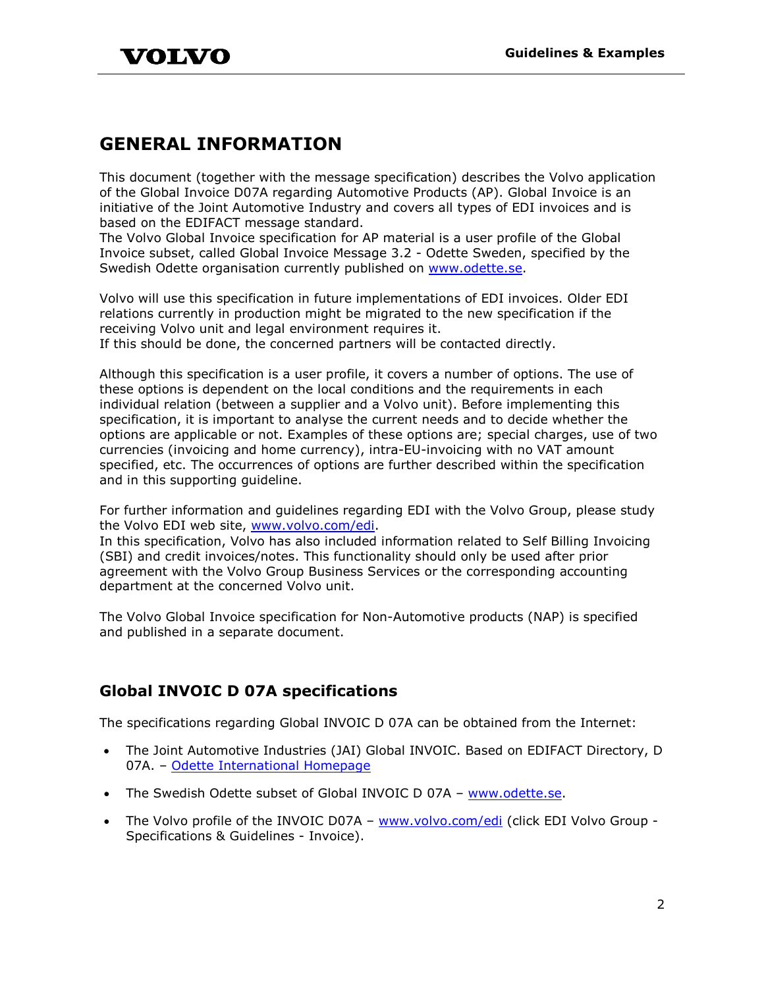# <span id="page-2-0"></span>**GENERAL INFORMATION**

This document (together with the message specification) describes the Volvo application of the Global Invoice D07A regarding Automotive Products (AP). Global Invoice is an initiative of the Joint Automotive Industry and covers all types of EDI invoices and is based on the EDIFACT message standard.

The Volvo Global Invoice specification for AP material is a user profile of the Global Invoice subset, called Global Invoice Message 3.2 - Odette Sweden, specified by the Swedish Odette organisation currently published on [www.odette.se.](http://www.odette.se/)

Volvo will use this specification in future implementations of EDI invoices. Older EDI relations currently in production might be migrated to the new specification if the receiving Volvo unit and legal environment requires it.

If this should be done, the concerned partners will be contacted directly.

Although this specification is a user profile, it covers a number of options. The use of these options is dependent on the local conditions and the requirements in each individual relation (between a supplier and a Volvo unit). Before implementing this specification, it is important to analyse the current needs and to decide whether the options are applicable or not. Examples of these options are; special charges, use of two currencies (invoicing and home currency), intra-EU-invoicing with no VAT amount specified, etc. The occurrences of options are further described within the specification and in this supporting guideline.

For further information and guidelines regarding EDI with the Volvo Group, please study the Volvo EDI web site, [www.volvo.com/edi.](http://www.volvo.com/edi)

In this specification, Volvo has also included information related to Self Billing Invoicing (SBI) and credit invoices/notes. This functionality should only be used after prior agreement with the Volvo Group Business Services or the corresponding accounting department at the concerned Volvo unit.

The Volvo Global Invoice specification for Non-Automotive products (NAP) is specified and published in a separate document.

# <span id="page-2-1"></span>**Global INVOIC D 07A specifications**

The specifications regarding Global INVOIC D 07A can be obtained from the Internet:

- The Joint Automotive Industries (JAI) Global INVOIC. Based on EDIFACT Directory, D 07A. – [Odette International Homepage](http://www.odette.org/html/home.htm)
- The Swedish Odette subset of Global INVOIC D 07A [www.odette.se.](http://www.odette.se/)
- The Volvo profile of the INVOIC D07A [www.volvo.com/edi](http://www.volvo.com/edi) (click EDI Volvo Group -Specifications & Guidelines - Invoice).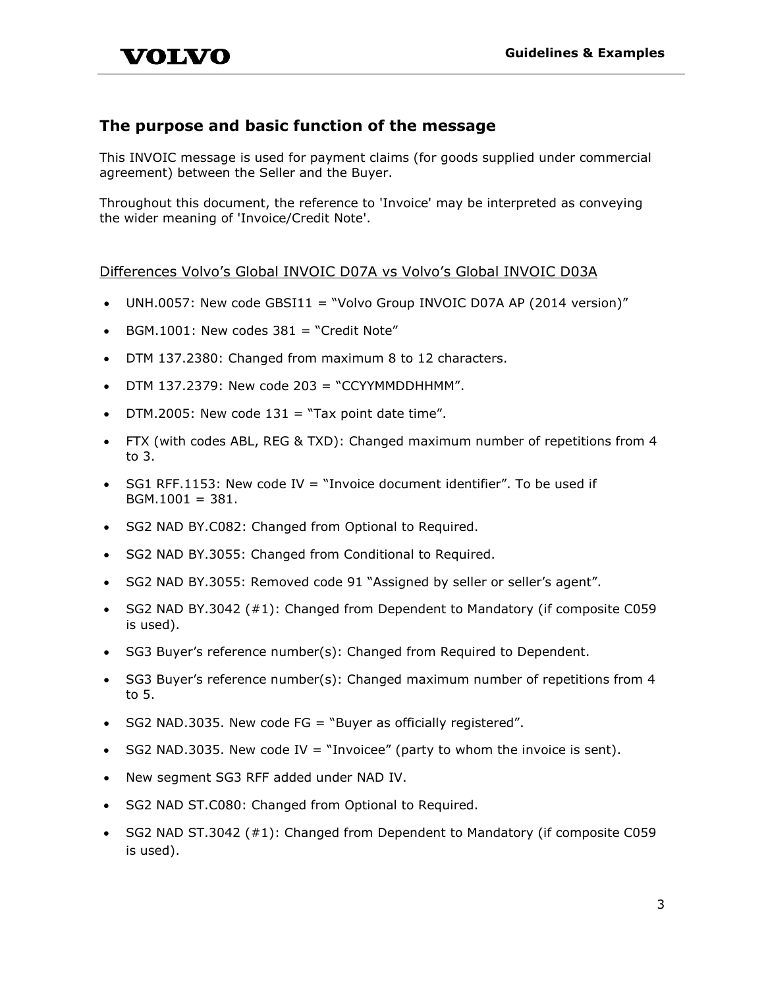### <span id="page-3-0"></span>**The purpose and basic function of the message**

This INVOIC message is used for payment claims (for goods supplied under commercial agreement) between the Seller and the Buyer.

Throughout this document, the reference to 'Invoice' may be interpreted as conveying the wider meaning of 'Invoice/Credit Note'.

#### <span id="page-3-1"></span>Differences Volvo's Global INVOIC D07A vs Volvo's Global INVOIC D03A

- UNH.0057: New code GBSI11 = "Volvo Group INVOIC D07A AP (2014 version)"
- BGM.1001: New codes  $381 =$  "Credit Note"
- DTM 137.2380: Changed from maximum 8 to 12 characters.
- DTM 137.2379: New code 203 = "CCYYMMDDHHMM".
- DTM.2005: New code  $131 = "Tax point date time".$
- FTX (with codes ABL, REG & TXD): Changed maximum number of repetitions from 4 to 3.
- $SGI$  RFF.1153: New code IV = "Invoice document identifier". To be used if  $BGM.1001 = 381.$
- SG2 NAD BY.C082: Changed from Optional to Required.
- SG2 NAD BY.3055: Changed from Conditional to Required.
- SG2 NAD BY.3055: Removed code 91 "Assigned by seller or seller's agent".
- SG2 NAD BY.3042 (#1): Changed from Dependent to Mandatory (if composite C059 is used).
- SG3 Buyer's reference number(s): Changed from Required to Dependent.
- SG3 Buyer's reference number(s): Changed maximum number of repetitions from 4 to 5.
- SG2 NAD.3035. New code FG = "Buyer as officially registered".
- SG2 NAD.3035. New code IV  $=$  "Invoicee" (party to whom the invoice is sent).
- New segment SG3 RFF added under NAD IV.
- SG2 NAD ST.C080: Changed from Optional to Required.
- SG2 NAD ST.3042 (#1): Changed from Dependent to Mandatory (if composite C059 is used).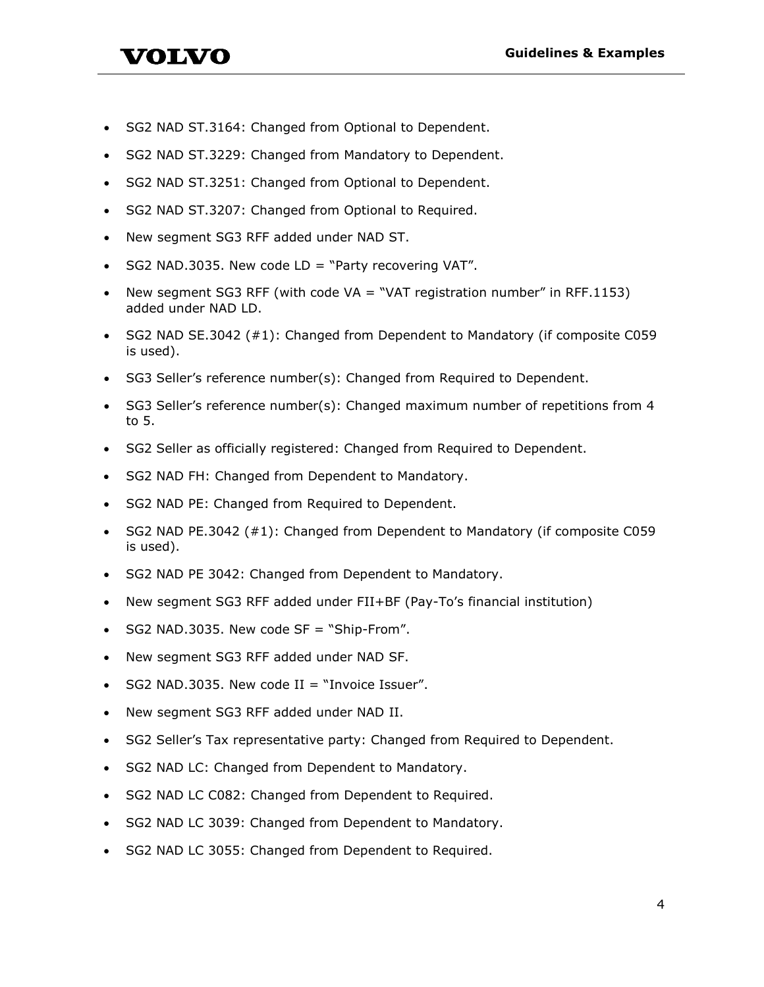• SG2 NAD ST.3164: Changed from Optional to Dependent.

VOLVO

- SG2 NAD ST.3229: Changed from Mandatory to Dependent.
- SG2 NAD ST.3251: Changed from Optional to Dependent.
- SG2 NAD ST.3207: Changed from Optional to Required.
- New segment SG3 RFF added under NAD ST.
- SG2 NAD.3035. New code  $LD = "Party recovering VAT".$
- New segment SG3 RFF (with code  $VA = "VAT$  registration number" in RFF.1153) added under NAD LD.
- SG2 NAD SE.3042 (#1): Changed from Dependent to Mandatory (if composite C059 is used).
- SG3 Seller's reference number(s): Changed from Required to Dependent.
- SG3 Seller's reference number(s): Changed maximum number of repetitions from 4 to 5.
- SG2 Seller as officially registered: Changed from Required to Dependent.
- SG2 NAD FH: Changed from Dependent to Mandatory.
- SG2 NAD PE: Changed from Required to Dependent.
- SG2 NAD PE.3042 (#1): Changed from Dependent to Mandatory (if composite C059 is used).
- SG2 NAD PE 3042: Changed from Dependent to Mandatory.
- New segment SG3 RFF added under FII+BF (Pay-To's financial institution)
- SG2 NAD.3035. New code SF = "Ship-From".
- New segment SG3 RFF added under NAD SF.
- SG2 NAD.3035. New code  $II = "Invoice Issuer".$
- New segment SG3 RFF added under NAD II.
- SG2 Seller's Tax representative party: Changed from Required to Dependent.
- SG2 NAD LC: Changed from Dependent to Mandatory.
- SG2 NAD LC C082: Changed from Dependent to Required.
- SG2 NAD LC 3039: Changed from Dependent to Mandatory.
- SG2 NAD LC 3055: Changed from Dependent to Required.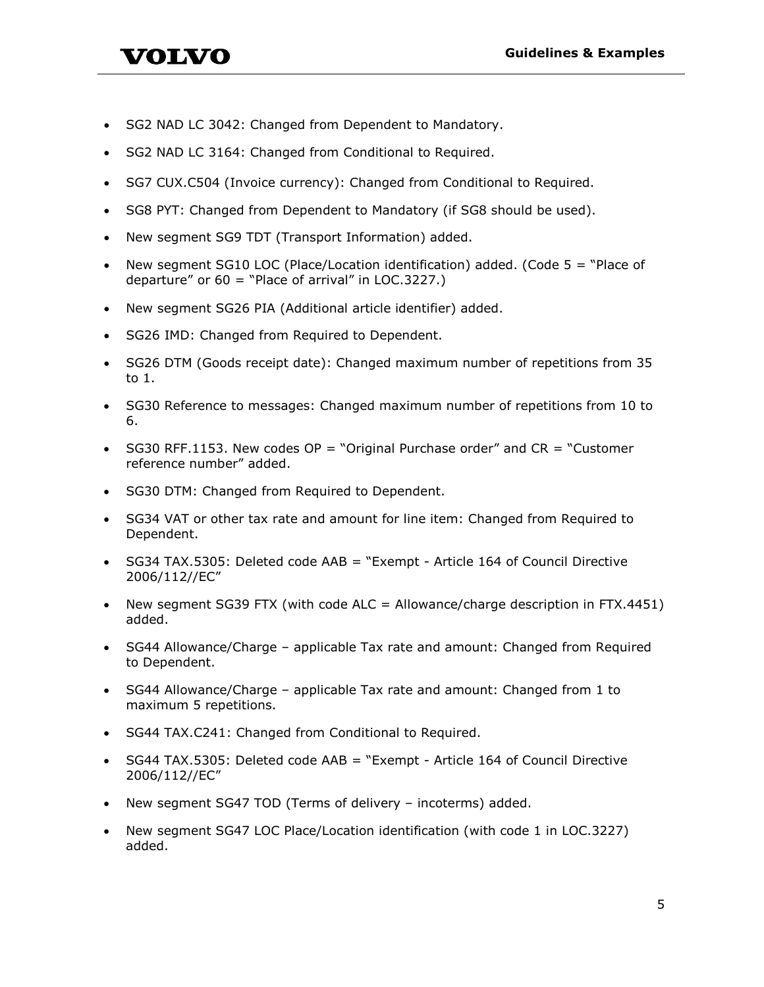- VOLVO
- SG2 NAD LC 3042: Changed from Dependent to Mandatory.
- SG2 NAD LC 3164: Changed from Conditional to Required.
- SG7 CUX.C504 (Invoice currency): Changed from Conditional to Required.
- SG8 PYT: Changed from Dependent to Mandatory (if SG8 should be used).
- New segment SG9 TDT (Transport Information) added.
- New segment SG10 LOC (Place/Location identification) added. (Code  $5 =$  "Place of departure" or  $60 =$  "Place of arrival" in LOC.3227.)
- New segment SG26 PIA (Additional article identifier) added.
- SG26 IMD: Changed from Required to Dependent.
- SG26 DTM (Goods receipt date): Changed maximum number of repetitions from 35 to 1.
- SG30 Reference to messages: Changed maximum number of repetitions from 10 to 6.
- $SG30$  RFF.1153. New codes  $OP = "Original P$ urchase order" and  $CR = "Customer$ reference number" added.
- SG30 DTM: Changed from Required to Dependent.
- SG34 VAT or other tax rate and amount for line item: Changed from Required to Dependent.
- SG34 TAX.5305: Deleted code AAB = "Exempt Article 164 of Council Directive 2006/112//EC"
- New segment SG39 FTX (with code ALC = Allowance/charge description in FTX.4451) added.
- SG44 Allowance/Charge applicable Tax rate and amount: Changed from Required to Dependent.
- SG44 Allowance/Charge applicable Tax rate and amount: Changed from 1 to maximum 5 repetitions.
- SG44 TAX.C241: Changed from Conditional to Required.
- SG44 TAX.5305: Deleted code AAB = "Exempt Article 164 of Council Directive 2006/112//EC"
- New segment SG47 TOD (Terms of delivery incoterms) added.
- New segment SG47 LOC Place/Location identification (with code 1 in LOC.3227) added.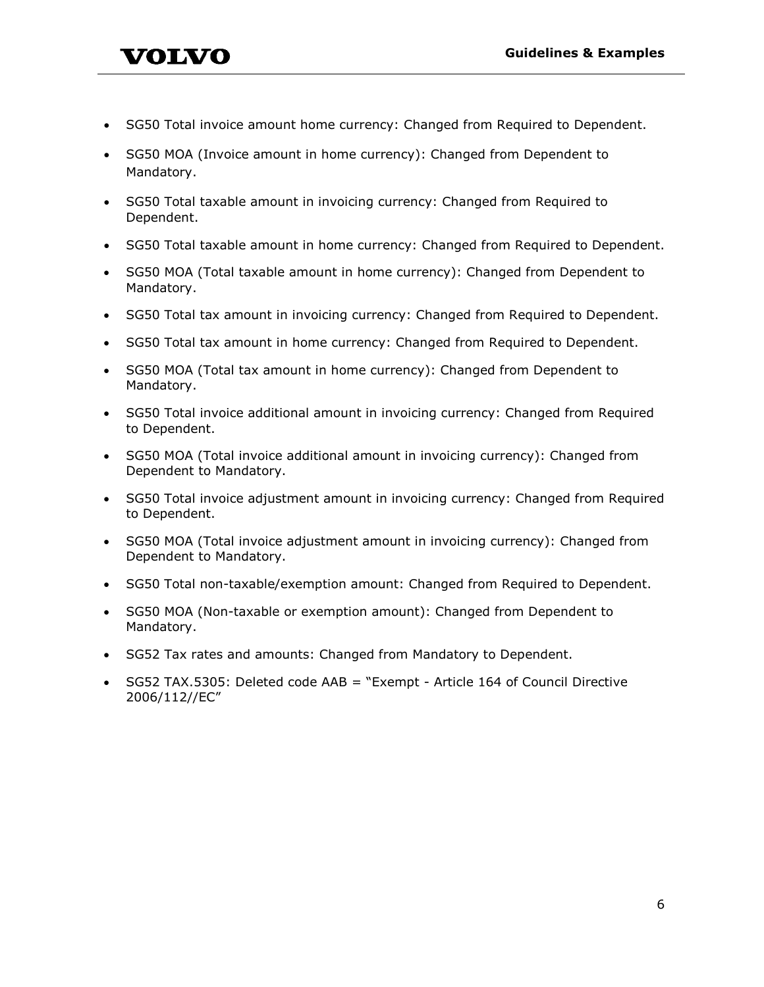- SG50 Total invoice amount home currency: Changed from Required to Dependent.
- SG50 MOA (Invoice amount in home currency): Changed from Dependent to Mandatory.

VOLVO

- SG50 Total taxable amount in invoicing currency: Changed from Required to Dependent.
- SG50 Total taxable amount in home currency: Changed from Required to Dependent.
- SG50 MOA (Total taxable amount in home currency): Changed from Dependent to Mandatory.
- SG50 Total tax amount in invoicing currency: Changed from Required to Dependent.
- SG50 Total tax amount in home currency: Changed from Required to Dependent.
- SG50 MOA (Total tax amount in home currency): Changed from Dependent to Mandatory.
- SG50 Total invoice additional amount in invoicing currency: Changed from Required to Dependent.
- SG50 MOA (Total invoice additional amount in invoicing currency): Changed from Dependent to Mandatory.
- SG50 Total invoice adjustment amount in invoicing currency: Changed from Required to Dependent.
- SG50 MOA (Total invoice adjustment amount in invoicing currency): Changed from Dependent to Mandatory.
- SG50 Total non-taxable/exemption amount: Changed from Required to Dependent.
- SG50 MOA (Non-taxable or exemption amount): Changed from Dependent to Mandatory.
- SG52 Tax rates and amounts: Changed from Mandatory to Dependent.
- SG52 TAX.5305: Deleted code AAB = "Exempt Article 164 of Council Directive 2006/112//EC"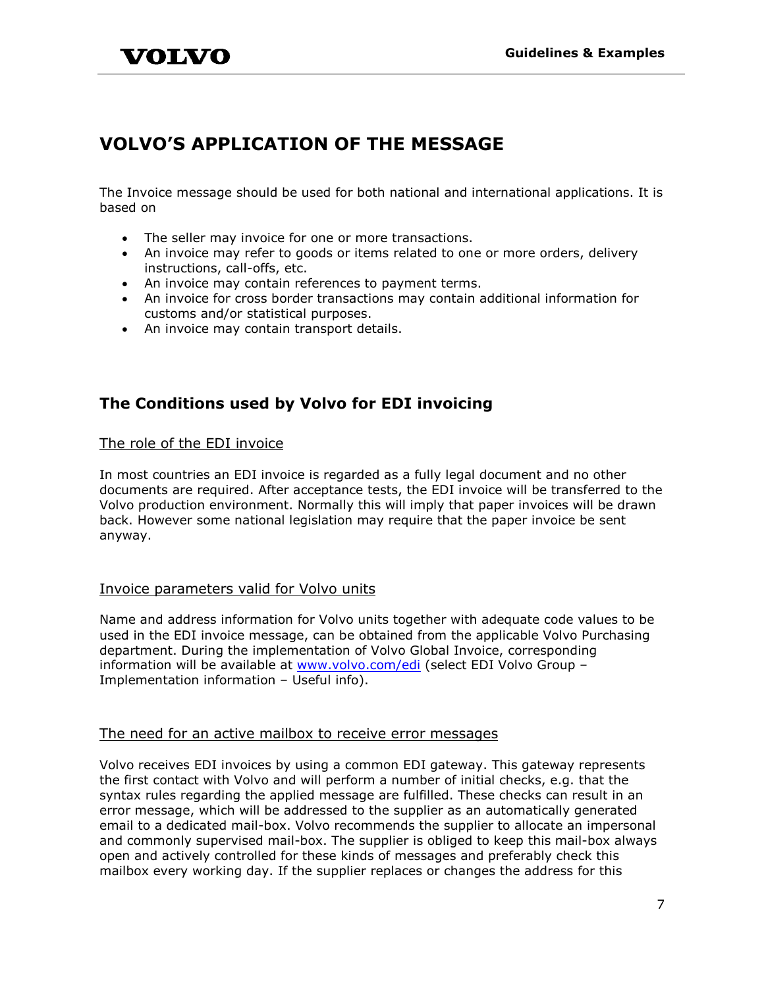# <span id="page-7-0"></span>**VOLVO'S APPLICATION OF THE MESSAGE**

The Invoice message should be used for both national and international applications. It is based on

- The seller may invoice for one or more transactions.
- An invoice may refer to goods or items related to one or more orders, delivery instructions, call-offs, etc.
- An invoice may contain references to payment terms.
- An invoice for cross border transactions may contain additional information for customs and/or statistical purposes.
- An invoice may contain transport details.

# <span id="page-7-1"></span>**The Conditions used by Volvo for EDI invoicing**

#### <span id="page-7-2"></span>The role of the EDI invoice

In most countries an EDI invoice is regarded as a fully legal document and no other documents are required. After acceptance tests, the EDI invoice will be transferred to the Volvo production environment. Normally this will imply that paper invoices will be drawn back. However some national legislation may require that the paper invoice be sent anyway.

#### <span id="page-7-3"></span>Invoice parameters valid for Volvo units

Name and address information for Volvo units together with adequate code values to be used in the EDI invoice message, can be obtained from the applicable Volvo Purchasing department. During the implementation of Volvo Global Invoice, corresponding information will be available at [www.volvo.com/edi](http://www.volvo.com/edi) (select EDI Volvo Group -Implementation information – Useful info).

#### <span id="page-7-4"></span>The need for an active mailbox to receive error messages

Volvo receives EDI invoices by using a common EDI gateway. This gateway represents the first contact with Volvo and will perform a number of initial checks, e.g. that the syntax rules regarding the applied message are fulfilled. These checks can result in an error message, which will be addressed to the supplier as an automatically generated email to a dedicated mail-box. Volvo recommends the supplier to allocate an impersonal and commonly supervised mail-box. The supplier is obliged to keep this mail-box always open and actively controlled for these kinds of messages and preferably check this mailbox every working day. If the supplier replaces or changes the address for this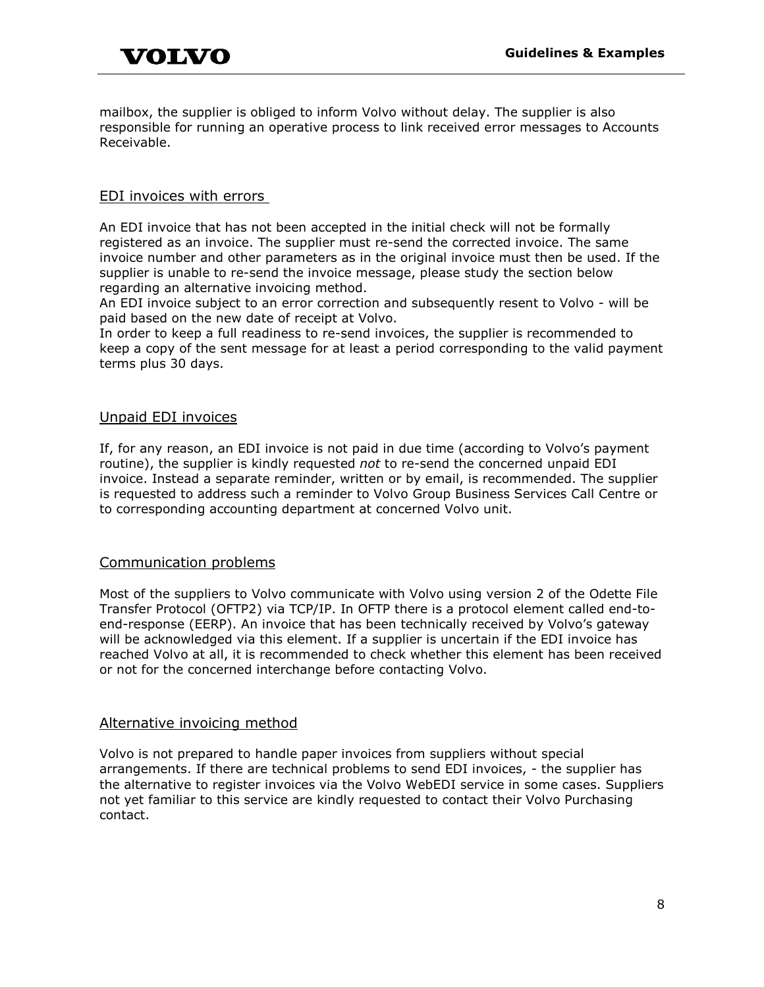mailbox, the supplier is obliged to inform Volvo without delay. The supplier is also responsible for running an operative process to link received error messages to Accounts Receivable.

#### <span id="page-8-0"></span>EDI invoices with errors

An EDI invoice that has not been accepted in the initial check will not be formally registered as an invoice. The supplier must re-send the corrected invoice. The same invoice number and other parameters as in the original invoice must then be used. If the supplier is unable to re-send the invoice message, please study the section below regarding an alternative invoicing method.

An EDI invoice subject to an error correction and subsequently resent to Volvo - will be paid based on the new date of receipt at Volvo.

In order to keep a full readiness to re-send invoices, the supplier is recommended to keep a copy of the sent message for at least a period corresponding to the valid payment terms plus 30 days.

#### <span id="page-8-1"></span>Unpaid EDI invoices

If, for any reason, an EDI invoice is not paid in due time (according to Volvo's payment routine), the supplier is kindly requested *not* to re-send the concerned unpaid EDI invoice. Instead a separate reminder, written or by email, is recommended. The supplier is requested to address such a reminder to Volvo Group Business Services Call Centre or to corresponding accounting department at concerned Volvo unit.

#### <span id="page-8-2"></span>Communication problems

Most of the suppliers to Volvo communicate with Volvo using version 2 of the Odette File Transfer Protocol (OFTP2) via TCP/IP. In OFTP there is a protocol element called end-toend-response (EERP). An invoice that has been technically received by Volvo's gateway will be acknowledged via this element. If a supplier is uncertain if the EDI invoice has reached Volvo at all, it is recommended to check whether this element has been received or not for the concerned interchange before contacting Volvo.

#### <span id="page-8-3"></span>Alternative invoicing method

Volvo is not prepared to handle paper invoices from suppliers without special arrangements. If there are technical problems to send EDI invoices, - the supplier has the alternative to register invoices via the Volvo WebEDI service in some cases. Suppliers not yet familiar to this service are kindly requested to contact their Volvo Purchasing contact.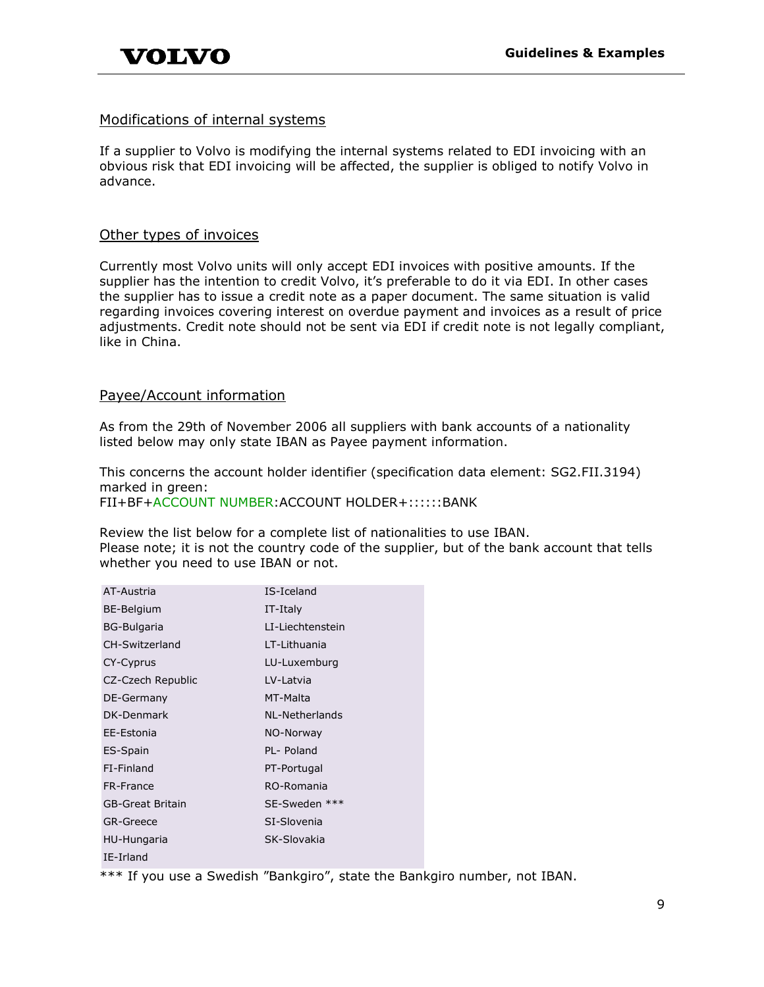#### <span id="page-9-0"></span>Modifications of internal systems

If a supplier to Volvo is modifying the internal systems related to EDI invoicing with an obvious risk that EDI invoicing will be affected, the supplier is obliged to notify Volvo in advance.

#### <span id="page-9-1"></span>Other types of invoices

Currently most Volvo units will only accept EDI invoices with positive amounts. If the supplier has the intention to credit Volvo, it's preferable to do it via EDI. In other cases the supplier has to issue a credit note as a paper document. The same situation is valid regarding invoices covering interest on overdue payment and invoices as a result of price adjustments. Credit note should not be sent via EDI if credit note is not legally compliant, like in China.

#### <span id="page-9-2"></span>Payee/Account information

As from the 29th of November 2006 all suppliers with bank accounts of a nationality listed below may only state IBAN as Payee payment information.

This concerns the account holder identifier (specification data element: SG2.FII.3194) marked in green:

FII+BF+ACCOUNT NUMBER:ACCOUNT HOLDER+::::::BANK

Review the list below for a complete list of nationalities to use IBAN. Please note; it is not the country code of the supplier, but of the bank account that tells whether you need to use IBAN or not.

| AT-Austria         | IS-Iceland       |
|--------------------|------------------|
| BE-Belgium         | IT-Italy         |
| <b>BG-Bulgaria</b> | LI-Liechtenstein |
| CH-Switzerland     | I T-Lithuania    |
| CY-Cyprus          | LU-Luxemburg     |
| CZ-Czech Republic  | LV-Latvia        |
| DE-Germany         | MT-Malta         |
| DK-Denmark         | NL-Netherlands   |
| EE-Estonia         | NO-Norway        |
| ES-Spain           | PL- Poland       |
| FI-Finland         | PT-Portugal      |
| FR-France          | RO-Romania       |
| GB-Great Britain   | SE-Sweden ***    |
| <b>GR-Greece</b>   | SI-Slovenia      |
| HU-Hungaria        | SK-Slovakia      |
| IE-Irland          |                  |

\*\*\* If you use a Swedish "Bankgiro", state the Bankgiro number, not IBAN.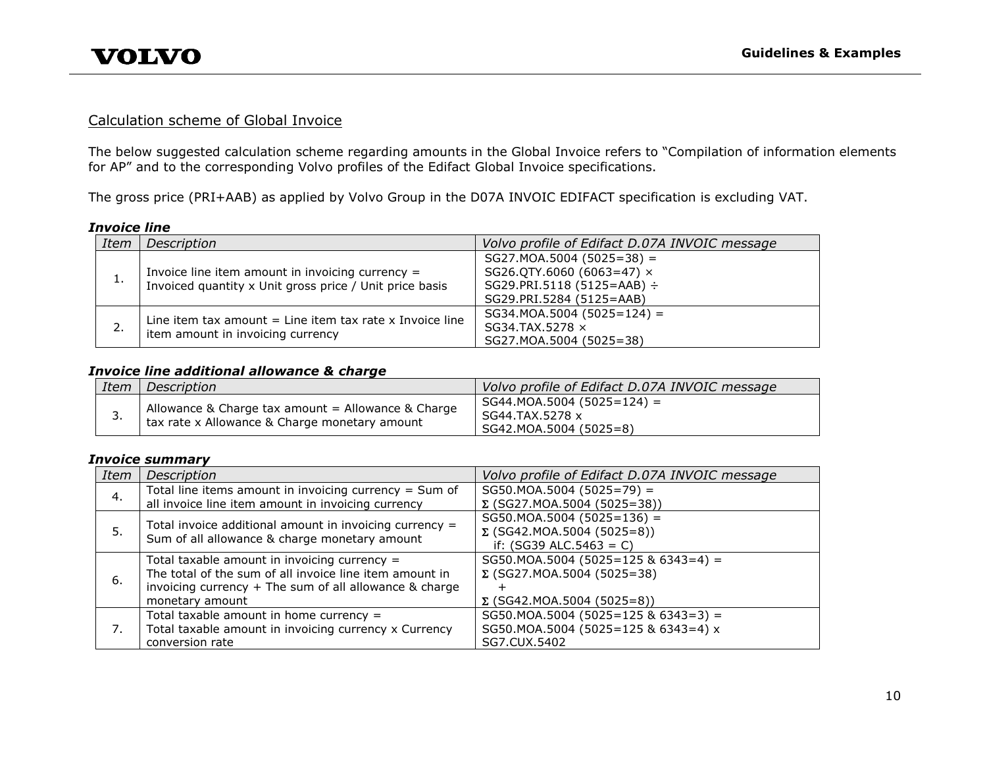#### Calculation scheme of Global Invoice

The below suggested calculation scheme regarding amounts in the Global Invoice refers to "Compilation of information elements for AP" and to the corresponding Volvo profiles of the Edifact Global Invoice specifications.

The gross price (PRI+AAB) as applied by Volvo Group in the D07A INVOIC EDIFACT specification is excluding VAT.

#### *Invoice line*

| Item     | Description                                                                                                   | Volvo profile of Edifact D.07A INVOIC message                                                                          |
|----------|---------------------------------------------------------------------------------------------------------------|------------------------------------------------------------------------------------------------------------------------|
| <b>.</b> | Invoice line item amount in invoicing currency $=$<br>Invoiced quantity x Unit gross price / Unit price basis | $SG27.MOA.5004 (5025=38) =$<br>SG26.QTY.6060 (6063=47) ×<br>$SG29.PRI.5118 (5125 = AAB)$ ÷<br>SG29.PRI.5284 (5125=AAB) |
| 2.       | Line item tax amount $=$ Line item tax rate x Invoice line<br>item amount in invoicing currency               | $SG34.MOA.5004 (5025=124) =$<br>SG34.TAX.5278 ×<br>SG27.MOA.5004 (5025=38)                                             |

#### <span id="page-10-0"></span>*Invoice line additional allowance & charge*

| Item     | Description                                                                                         | Volvo profile of Edifact D.07A INVOIC message                             |
|----------|-----------------------------------------------------------------------------------------------------|---------------------------------------------------------------------------|
| <u>.</u> | Allowance & Charge tax amount = Allowance & Charge<br>tax rate x Allowance & Charge monetary amount | $SG44.MOA.5004 (5025=124) =$<br>SG44.TAX.5278 x<br>SG42.MOA.5004 (5025=8) |

#### *Invoice summary*

| <b>Item</b> | Description                                                                                              | Volvo profile of Edifact D.07A INVOIC message |
|-------------|----------------------------------------------------------------------------------------------------------|-----------------------------------------------|
| 4.          | Total line items amount in invoicing currency $=$ Sum of                                                 | $SG50.MOA.5004 (5025=79) =$                   |
|             | all invoice line item amount in invoicing currency                                                       | $\Sigma$ (SG27.MOA.5004 (5025=38))            |
|             |                                                                                                          | $SG50.MOA.5004 (5025=136) =$                  |
| 5.          | Total invoice additional amount in invoicing currency =<br>Sum of all allowance & charge monetary amount | $\Sigma$ (SG42.MOA.5004 (5025=8))             |
|             |                                                                                                          | if: $(SG39 ALC.5463 = C)$                     |
|             | Total taxable amount in invoicing currency $=$                                                           | SG50.MOA.5004 (5025=125 & 6343=4) =           |
|             | The total of the sum of all invoice line item amount in                                                  | $\Sigma$ (SG27.MOA.5004 (5025=38)             |
| 6.          | invoicing currency $+$ The sum of all allowance & charge                                                 |                                               |
|             | monetary amount                                                                                          | $\Sigma$ (SG42.MOA.5004 (5025=8))             |
|             | Total taxable amount in home currency $=$                                                                | $SG50.MOA.5004 (5025=125 & 6343=3) =$         |
| 7.          | Total taxable amount in invoicing currency x Currency                                                    | SG50.MOA.5004 (5025=125 & 6343=4) x           |
|             | conversion rate                                                                                          | SG7.CUX.5402                                  |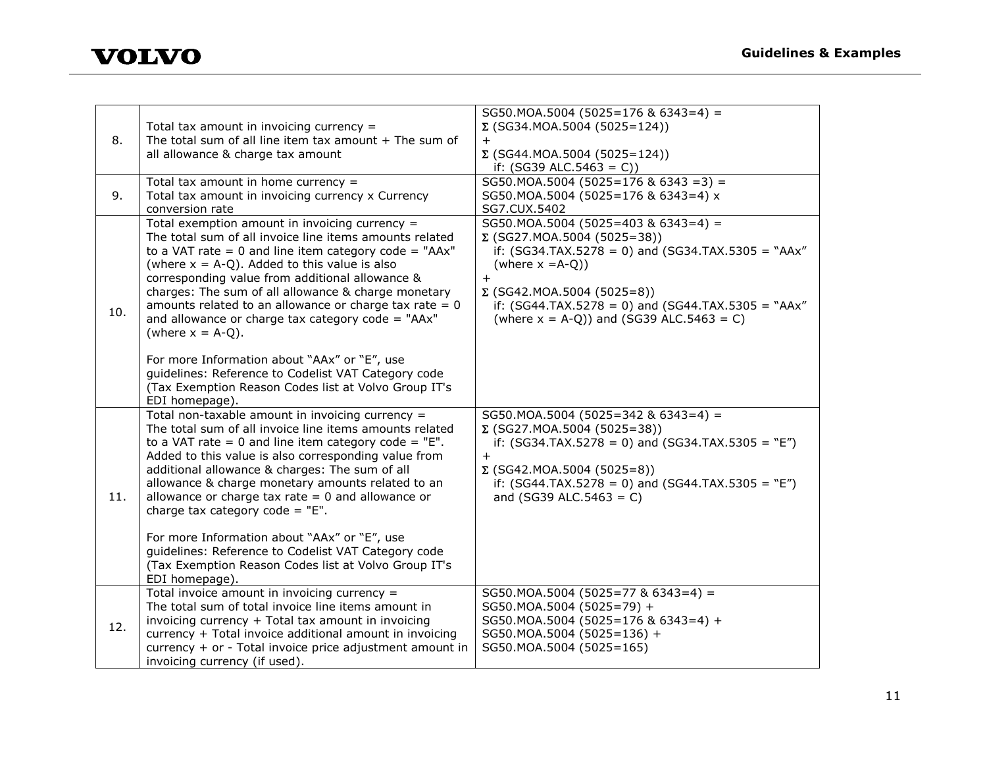

| 8.  | Total tax amount in invoicing currency $=$<br>The total sum of all line item tax amount $+$ The sum of<br>all allowance & charge tax amount                                                                                                                                                                                                                                                                                                                                                                                                                                    | SG50.MOA.5004 (5025=176 & 6343=4) =<br>$\Sigma$ (SG34.MOA.5004 (5025=124))<br>$+$<br>$\Sigma$ (SG44.MOA.5004 (5025=124))<br>if: $(SG39 ALC.5463 = C)$                                                                                                                                                                    |
|-----|--------------------------------------------------------------------------------------------------------------------------------------------------------------------------------------------------------------------------------------------------------------------------------------------------------------------------------------------------------------------------------------------------------------------------------------------------------------------------------------------------------------------------------------------------------------------------------|--------------------------------------------------------------------------------------------------------------------------------------------------------------------------------------------------------------------------------------------------------------------------------------------------------------------------|
| 9.  | Total tax amount in home currency $=$<br>Total tax amount in invoicing currency x Currency<br>conversion rate                                                                                                                                                                                                                                                                                                                                                                                                                                                                  | $SG50.MOA.5004 (5025=176 & 6343 = 3) =$<br>SG50.MOA.5004 (5025=176 & 6343=4) x<br>SG7.CUX.5402                                                                                                                                                                                                                           |
| 10. | Total exemption amount in invoicing currency =<br>The total sum of all invoice line items amounts related<br>to a VAT rate = 0 and line item category code = "AAx"<br>(where $x = A-Q$ ). Added to this value is also<br>corresponding value from additional allowance &<br>charges: The sum of all allowance & charge monetary<br>amounts related to an allowance or charge tax rate $= 0$<br>and allowance or charge tax category code = "AAx"<br>(where $x = A-Q$ ).<br>For more Information about "AAx" or "E", use<br>guidelines: Reference to Codelist VAT Category code | $SG50.MOA.5004 (5025=403 & 6343=4) =$<br>$\Sigma$ (SG27.MOA.5004 (5025=38))<br>if: $(SG34.TAX.5278 = 0)$ and $(SG34.TAX.5305 = "AAx"$<br>(where $x = A-Q$ ))<br>$\ddot{+}$<br>$\Sigma$ (SG42.MOA.5004 (5025=8))<br>if: $(SG44.TAX.5278 = 0)$ and $(SG44.TAX.5305 = "AAx"$<br>(where $x = A-Q$ )) and (SG39 ALC.5463 = C) |
|     | (Tax Exemption Reason Codes list at Volvo Group IT's<br>EDI homepage).                                                                                                                                                                                                                                                                                                                                                                                                                                                                                                         |                                                                                                                                                                                                                                                                                                                          |
| 11. | Total non-taxable amount in invoicing currency =<br>The total sum of all invoice line items amounts related<br>to a VAT rate = 0 and line item category code = $"E"$ .<br>Added to this value is also corresponding value from<br>additional allowance & charges: The sum of all<br>allowance & charge monetary amounts related to an<br>allowance or charge tax rate $= 0$ and allowance or<br>charge tax category code = $"E".$                                                                                                                                              | SG50.MOA.5004 (5025=342 & 6343=4) =<br>$\Sigma$ (SG27.MOA.5004 (5025=38))<br>if: $(SG34.TAX.5278 = 0)$ and $(SG34.TAX.5305 = "E")$<br>$+$<br>$\Sigma$ (SG42.MOA.5004 (5025=8))<br>if: $(SG44.TAX.5278 = 0)$ and $(SG44.TAX.5305 = "E")$<br>and (SG39 ALC.5463 = C)                                                       |
|     | For more Information about "AAx" or "E", use<br>guidelines: Reference to Codelist VAT Category code<br>(Tax Exemption Reason Codes list at Volvo Group IT's<br>EDI homepage).                                                                                                                                                                                                                                                                                                                                                                                                  |                                                                                                                                                                                                                                                                                                                          |
| 12. | Total invoice amount in invoicing currency =<br>The total sum of total invoice line items amount in<br>invoicing currency + Total tax amount in invoicing<br>currency + Total invoice additional amount in invoicing<br>currency + or - Total invoice price adjustment amount in<br>invoicing currency (if used).                                                                                                                                                                                                                                                              | SG50.MOA.5004 (5025=77 & 6343=4) =<br>SG50.MOA.5004 (5025=79) +<br>SG50.MOA.5004 (5025=176 & 6343=4) +<br>SG50.MOA.5004 (5025=136) +<br>SG50.MOA.5004 (5025=165)                                                                                                                                                         |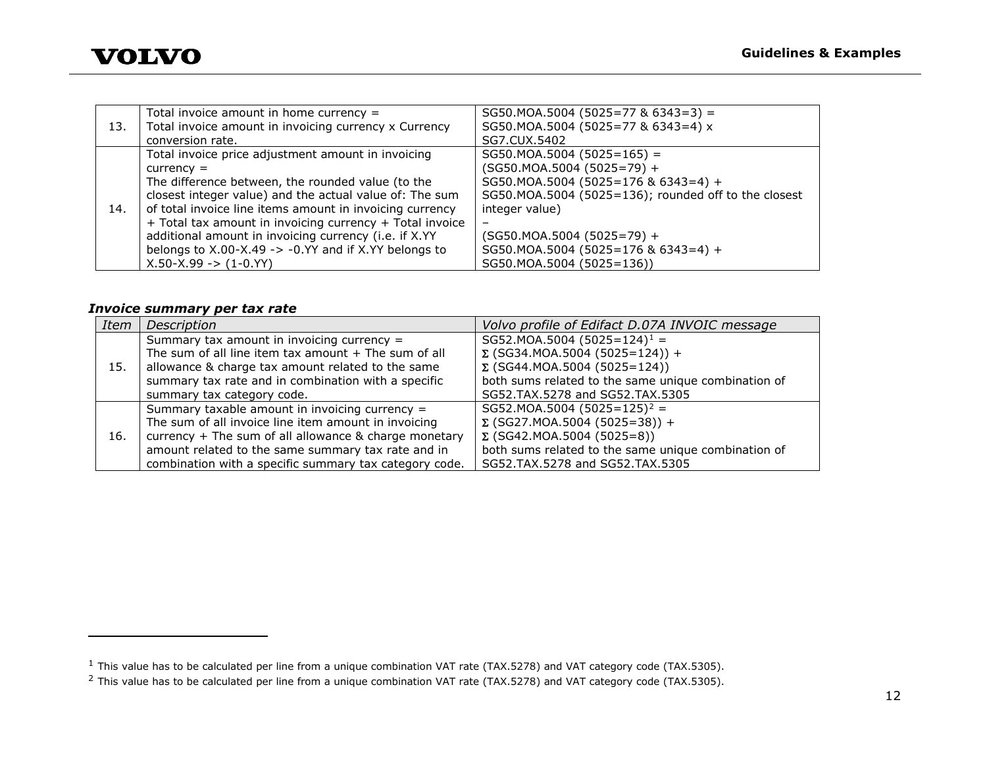<span id="page-12-1"></span><span id="page-12-0"></span>

|     | Total invoice amount in home currency $=$                       | $SG50.MOA.5004 (5025=77 & 6343=3) =$                 |
|-----|-----------------------------------------------------------------|------------------------------------------------------|
| 13. | Total invoice amount in invoicing currency x Currency           | SG50.MOA.5004 (5025=77 & 6343=4) x                   |
|     | conversion rate.                                                | SG7.CUX.5402                                         |
|     | Total invoice price adjustment amount in invoicing              | $SG50.MOA.5004 (5025=165) =$                         |
|     | $currence =$                                                    | $(SG50.MOA.5004 (5025=79) +$                         |
|     | The difference between, the rounded value (to the               | SG50.MOA.5004 (5025=176 & 6343=4) +                  |
|     | closest integer value) and the actual value of: The sum         | SG50.MOA.5004 (5025=136); rounded off to the closest |
| 14. | of total invoice line items amount in invoicing currency        | integer value)                                       |
|     | + Total tax amount in invoicing currency + Total invoice        |                                                      |
|     | additional amount in invoicing currency (i.e. if X.YY           | $(SG50.MOA.5004 (5025=79) +$                         |
|     | belongs to $X.00-X.49 \rightarrow -0.YY$ and if X.YY belongs to | SG50.MOA.5004 (5025=176 & 6343=4) +                  |
|     | $X.50-X.99$ -> $(1-0.YY)$                                       | SG50.MOA.5004 (5025=136))                            |

#### *Invoice summary per tax rate*

i,

| Item | Description                                            | Volvo profile of Edifact D.07A INVOIC message       |
|------|--------------------------------------------------------|-----------------------------------------------------|
|      | Summary tax amount in invoicing currency =             | SG52.MOA.5004 (5025=124) <sup>1</sup> =             |
|      | The sum of all line item tax amount $+$ The sum of all | $\Sigma$ (SG34.MOA.5004 (5025=124)) +               |
| 15.  | allowance & charge tax amount related to the same      | $\Sigma$ (SG44.MOA.5004 (5025=124))                 |
|      | summary tax rate and in combination with a specific    | both sums related to the same unique combination of |
|      | summary tax category code.                             | SG52.TAX.5278 and SG52.TAX.5305                     |
|      | Summary taxable amount in invoicing currency =         | SG52.MOA.5004 (5025=125) <sup>2</sup> =             |
|      | The sum of all invoice line item amount in invoicing   | $\Sigma$ (SG27.MOA.5004 (5025=38)) +                |
| 16.  | currency + The sum of all allowance & charge monetary  | $\Sigma$ (SG42.MOA.5004 (5025=8))                   |
|      | amount related to the same summary tax rate and in     | both sums related to the same unique combination of |
|      | combination with a specific summary tax category code. | SG52.TAX.5278 and SG52.TAX.5305                     |

 $^1$  This value has to be calculated per line from a unique combination VAT rate (TAX.5278) and VAT category code (TAX.5305).

<sup>&</sup>lt;sup>2</sup> This value has to be calculated per line from a unique combination VAT rate (TAX.5278) and VAT category code (TAX.5305).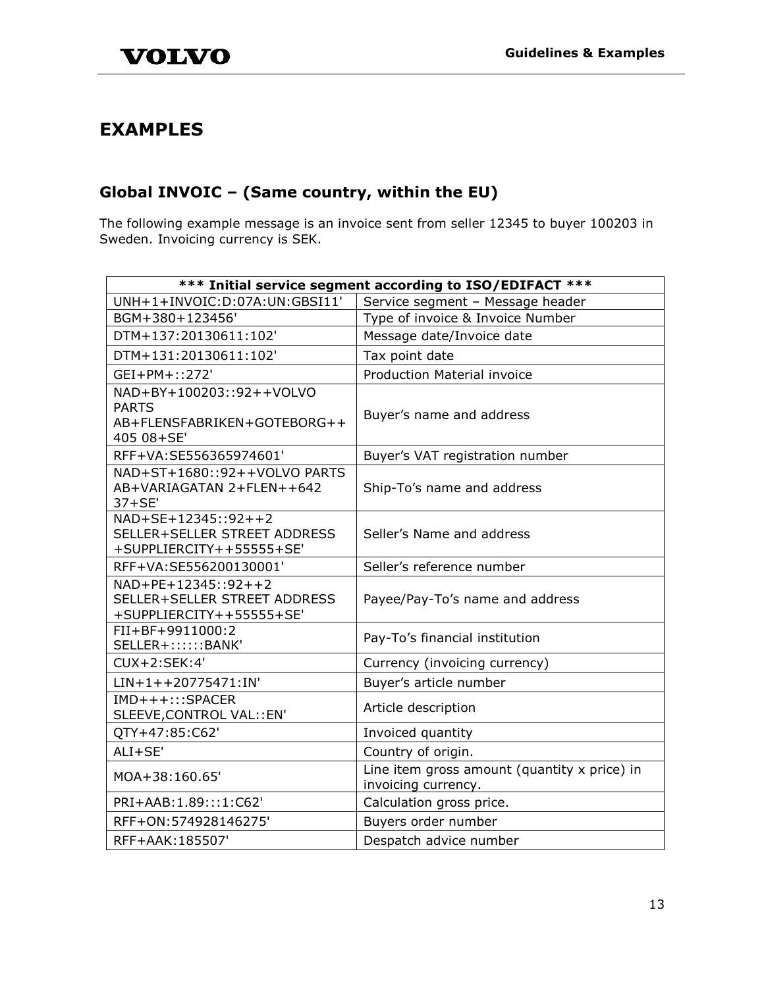# <span id="page-13-0"></span>**EXAMPLES**

# <span id="page-13-1"></span>**Global INVOIC – (Same country, within the EU)**

The following example message is an invoice sent from seller 12345 to buyer 100203 in Sweden. Invoicing currency is SEK.

| *** Initial service segment according to ISO/EDIFACT ***                              |                                                                     |  |
|---------------------------------------------------------------------------------------|---------------------------------------------------------------------|--|
| UNH+1+INVOIC:D:07A:UN:GBSI11'                                                         | Service segment - Message header                                    |  |
| BGM+380+123456'                                                                       | Type of invoice & Invoice Number                                    |  |
| DTM+137:20130611:102'                                                                 | Message date/Invoice date                                           |  |
| DTM+131:20130611:102'                                                                 | Tax point date                                                      |  |
| GEI+PM+::272'                                                                         | <b>Production Material invoice</b>                                  |  |
| NAD+BY+100203::92++VOLVO<br><b>PARTS</b><br>AB+FLENSFABRIKEN+GOTEBORG++<br>405 08+SE' | Buyer's name and address                                            |  |
| RFF+VA:SE556365974601'                                                                | Buyer's VAT registration number                                     |  |
| NAD+ST+1680::92++VOLVO PARTS<br>AB+VARIAGATAN 2+FLEN++642<br>$37+SE'$                 | Ship-To's name and address                                          |  |
| NAD+SE+12345::92++2<br>SELLER+SELLER STREET ADDRESS<br>+SUPPLIERCITY++55555+SE'       | Seller's Name and address                                           |  |
| RFF+VA:SE556200130001'                                                                | Seller's reference number                                           |  |
| NAD+PE+12345::92++2<br>SELLER+SELLER STREET ADDRESS<br>+SUPPLIERCITY++55555+SE'       | Payee/Pay-To's name and address                                     |  |
| FII+BF+9911000:2<br>SELLER+::::::BANK'                                                | Pay-To's financial institution                                      |  |
| CUX+2:SEK:4'                                                                          | Currency (invoicing currency)                                       |  |
| $LIN+1++20775471:IN'$                                                                 | Buyer's article number                                              |  |
| $IMD+++::SPACER$<br>SLEEVE, CONTROL VAL:: EN'                                         | Article description                                                 |  |
| QTY+47:85:C62'                                                                        | Invoiced quantity                                                   |  |
| ALI+SE'                                                                               | Country of origin.                                                  |  |
| MOA+38:160.65'                                                                        | Line item gross amount (quantity x price) in<br>invoicing currency. |  |
| PRI+AAB:1.89:::1:C62'                                                                 | Calculation gross price.                                            |  |
| RFF+ON: 574928146275'                                                                 | Buyers order number                                                 |  |
| RFF+AAK: 185507'                                                                      | Despatch advice number                                              |  |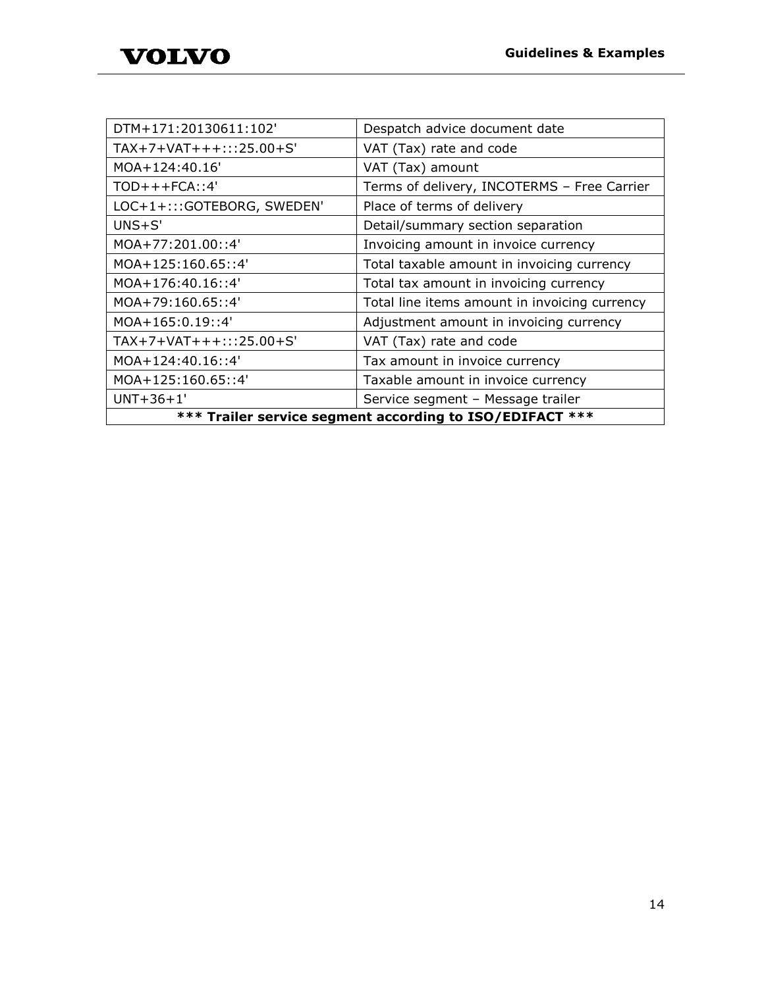| DTM+171:20130611:102'                                    | Despatch advice document date                 |  |
|----------------------------------------------------------|-----------------------------------------------|--|
| TAX+7+VAT+++:::25.00+S'                                  | VAT (Tax) rate and code                       |  |
| MOA+124:40.16'                                           | VAT (Tax) amount                              |  |
| $TOD+++FCA$ ::4'                                         | Terms of delivery, INCOTERMS - Free Carrier   |  |
| LOC+1+:::GOTEBORG, SWEDEN'                               | Place of terms of delivery                    |  |
| $UNS + S'$                                               | Detail/summary section separation             |  |
| MOA+77:201.00::4'                                        | Invoicing amount in invoice currency          |  |
| MOA+125:160.65::4'                                       | Total taxable amount in invoicing currency    |  |
| $MOA+176:40.16::4'$                                      | Total tax amount in invoicing currency        |  |
| $MOA+79:160.65::4'$                                      | Total line items amount in invoicing currency |  |
| MOA+165:0.19::4'                                         | Adjustment amount in invoicing currency       |  |
| $TAX+7+VAT+++:::25.00+S'$                                | VAT (Tax) rate and code                       |  |
| MOA+124:40.16::4'                                        | Tax amount in invoice currency                |  |
| MOA+125:160.65::4'                                       | Taxable amount in invoice currency            |  |
| $UNT+36+1'$                                              | Service segment - Message trailer             |  |
| *** Trailer service segment according to ISO/EDIFACT *** |                                               |  |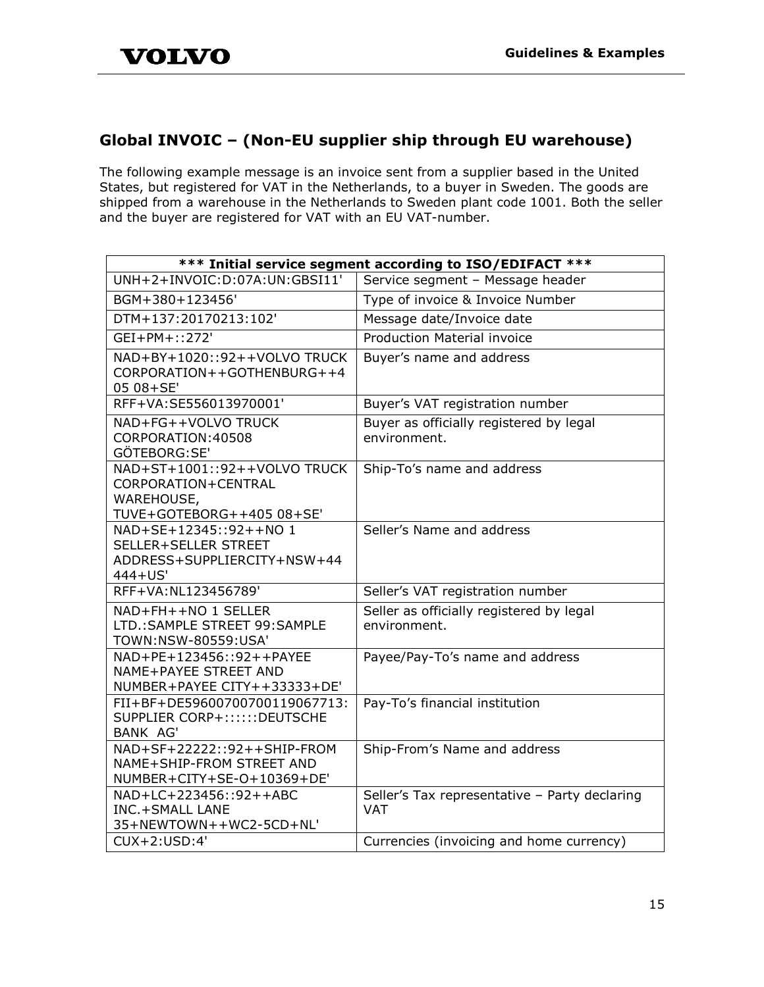# <span id="page-15-0"></span>**Global INVOIC – (Non-EU supplier ship through EU warehouse)**

The following example message is an invoice sent from a supplier based in the United States, but registered for VAT in the Netherlands, to a buyer in Sweden. The goods are shipped from a warehouse in the Netherlands to Sweden plant code 1001. Both the seller and the buyer are registered for VAT with an EU VAT-number.

| *** Initial service segment according to ISO/EDIFACT ***                                       |                                                             |  |
|------------------------------------------------------------------------------------------------|-------------------------------------------------------------|--|
| UNH+2+INVOIC:D:07A:UN:GBSI11'                                                                  | Service segment - Message header                            |  |
| BGM+380+123456'                                                                                | Type of invoice & Invoice Number                            |  |
| DTM+137:20170213:102'                                                                          | Message date/Invoice date                                   |  |
| $GEI+PM+::272'$                                                                                | <b>Production Material invoice</b>                          |  |
| NAD+BY+1020::92++VOLVO TRUCK<br>CORPORATION++GOTHENBURG++4<br>05 08+SE'                        | Buyer's name and address                                    |  |
| RFF+VA:SE556013970001'                                                                         | Buyer's VAT registration number                             |  |
| NAD+FG++VOLVO TRUCK<br>CORPORATION: 40508<br>GÖTEBORG:SE'                                      | Buyer as officially registered by legal<br>environment.     |  |
| NAD+ST+1001::92++VOLVO TRUCK<br>CORPORATION+CENTRAL<br>WAREHOUSE,<br>TUVE+GOTEBORG++405 08+SE' | Ship-To's name and address                                  |  |
| NAD+SE+12345::92++NO 1<br>SELLER+SELLER STREET<br>ADDRESS+SUPPLIERCITY+NSW+44<br>444+US'       | Seller's Name and address                                   |  |
| RFF+VA:NL123456789'                                                                            | Seller's VAT registration number                            |  |
| NAD+FH++NO 1 SELLER<br>LTD.: SAMPLE STREET 99: SAMPLE<br>TOWN:NSW-80559:USA'                   | Seller as officially registered by legal<br>environment.    |  |
| NAD+PE+123456::92++PAYEE<br>NAME+PAYEE STREET AND<br>NUMBER+PAYEE CITY++33333+DE'              | Payee/Pay-To's name and address                             |  |
| FII+BF+DE59600700700119067713:<br>SUPPLIER CORP+::::::DEUTSCHE<br><b>BANK AG'</b>              | Pay-To's financial institution                              |  |
| NAD+SF+22222::92++SHIP-FROM<br>NAME+SHIP-FROM STREET AND<br>NUMBER+CITY+SE-O+10369+DE'         | Ship-From's Name and address                                |  |
| NAD+LC+223456::92++ABC<br><b>INC.+SMALL LANE</b><br>35+NEWTOWN++WC2-5CD+NL'                    | Seller's Tax representative - Party declaring<br><b>VAT</b> |  |
| CUX+2:USD:4'                                                                                   | Currencies (invoicing and home currency)                    |  |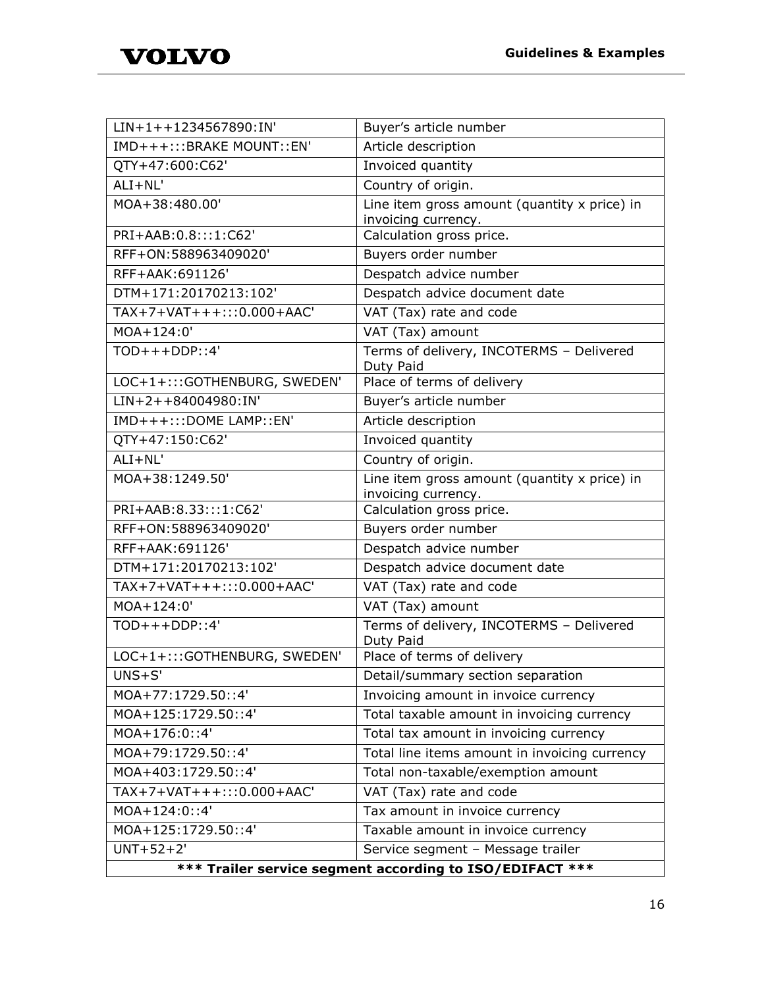| LIN+1++1234567890:IN'                                    | Buyer's article number                                                |
|----------------------------------------------------------|-----------------------------------------------------------------------|
| IMD+++:::BRAKE MOUNT::EN'                                | Article description                                                   |
| QTY+47:600:C62'                                          | Invoiced quantity                                                     |
| $ALI + NL'$                                              | Country of origin.                                                    |
| MOA+38:480.00'                                           | Line item gross amount (quantity x price) in<br>invoicing currency.   |
| PRI+AAB:0.8:::1:C62'                                     | Calculation gross price.                                              |
| RFF+ON:588963409020'                                     | Buyers order number                                                   |
| RFF+AAK: 691126'                                         | Despatch advice number                                                |
| DTM+171:20170213:102'                                    | Despatch advice document date                                         |
| TAX+7+VAT+++:::0.000+AAC'                                | VAT (Tax) rate and code                                               |
| MOA+124:0'                                               | VAT (Tax) amount                                                      |
| TOP::4'                                                  | Terms of delivery, INCOTERMS - Delivered<br>Duty Paid                 |
| LOC+1+:::GOTHENBURG, SWEDEN'                             | Place of terms of delivery                                            |
| $\overline{LIN+2}$ ++84004980:IN'                        | Buyer's article number                                                |
| IMD+++:::DOME LAMP::EN'                                  | Article description                                                   |
| QTY+47:150:C62'                                          | Invoiced quantity                                                     |
| ALI+NL'                                                  | Country of origin.                                                    |
| MOA+38:1249.50'                                          | Line item gross amount (quantity $x$ price) in<br>invoicing currency. |
| PRI+AAB:8.33:::1:C62'                                    | Calculation gross price.                                              |
| RFF+ON:588963409020'                                     | Buyers order number                                                   |
| RFF+AAK: 691126'                                         | Despatch advice number                                                |
| DTM+171:20170213:102'                                    | Despatch advice document date                                         |
| TAX+7+VAT+++:::0.000+AAC'                                | VAT (Tax) rate and code                                               |
| MOA+124:0'                                               | VAT (Tax) amount                                                      |
| $TOD+++DDP::4'$                                          | Terms of delivery, INCOTERMS - Delivered<br>Duty Paid                 |
| LOC+1+:::GOTHENBURG, SWEDEN'                             | Place of terms of delivery                                            |
| $UNS + S'$                                               | Detail/summary section separation                                     |
| MOA+77:1729.50::4'                                       | Invoicing amount in invoice currency                                  |
| MOA+125:1729.50::4'                                      | Total taxable amount in invoicing currency                            |
| MOA+176:0::4'                                            | Total tax amount in invoicing currency                                |
| MOA+79:1729.50::4'                                       | Total line items amount in invoicing currency                         |
| MOA+403:1729.50::4'                                      | Total non-taxable/exemption amount                                    |
| TAX+7+VAT+++:::0.000+AAC'                                | VAT (Tax) rate and code                                               |
| MOA+124:0::4'                                            | Tax amount in invoice currency                                        |
| MOA+125:1729.50::4'                                      | Taxable amount in invoice currency                                    |
| $UNT+52+2'$                                              | Service segment - Message trailer                                     |
| *** Trailer service segment according to ISO/EDIFACT *** |                                                                       |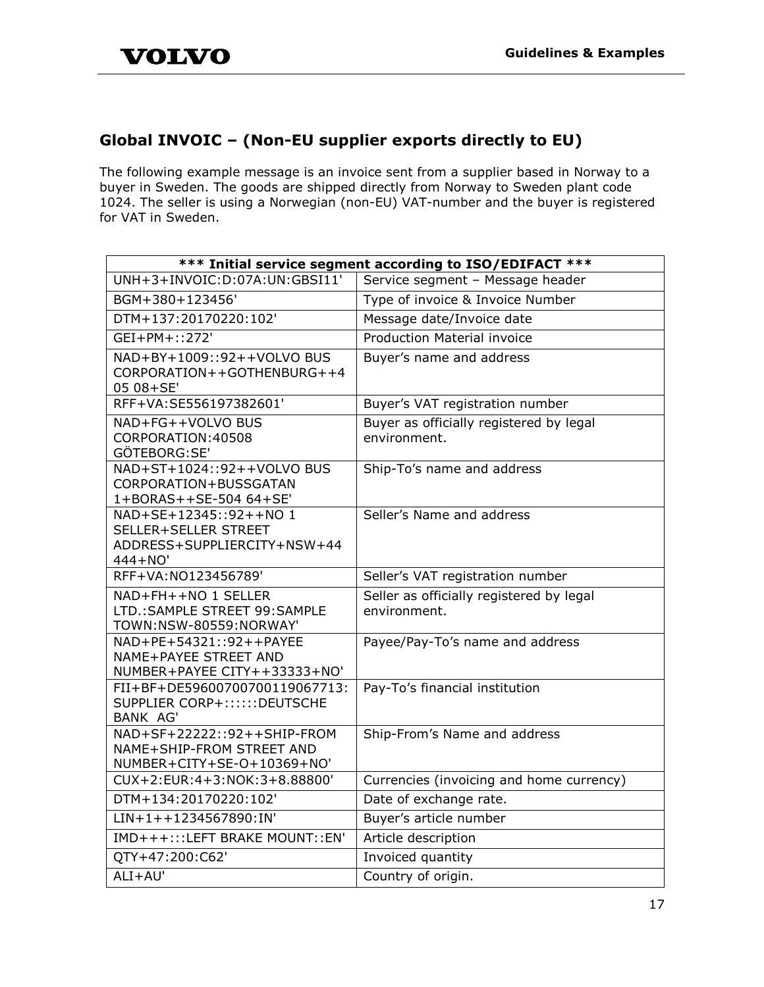# <span id="page-17-0"></span>**Global INVOIC – (Non-EU supplier exports directly to EU)**

The following example message is an invoice sent from a supplier based in Norway to a buyer in Sweden. The goods are shipped directly from Norway to Sweden plant code 1024. The seller is using a Norwegian (non-EU) VAT-number and the buyer is registered for VAT in Sweden.

| *** Initial service segment according to ISO/EDIFACT ***                                 |                                                          |
|------------------------------------------------------------------------------------------|----------------------------------------------------------|
| UNH+3+INVOIC:D:07A:UN:GBSI11'                                                            | Service segment - Message header                         |
| BGM+380+123456'                                                                          | Type of invoice & Invoice Number                         |
| DTM+137:20170220:102'                                                                    | Message date/Invoice date                                |
| GEI+PM+::272'                                                                            | <b>Production Material invoice</b>                       |
| NAD+BY+1009::92++VOLVO BUS<br>CORPORATION++GOTHENBURG++4<br>05 08+SE'                    | Buyer's name and address                                 |
| RFF+VA:SE556197382601'                                                                   | Buyer's VAT registration number                          |
| NAD+FG++VOLVO BUS<br>CORPORATION: 40508<br>GÖTEBORG:SE'                                  | Buyer as officially registered by legal<br>environment.  |
| NAD+ST+1024::92++VOLVO BUS<br>CORPORATION+BUSSGATAN<br>1+BORAS++SE-504 64+SE'            | Ship-To's name and address                               |
| NAD+SE+12345::92++NO 1<br>SELLER+SELLER STREET<br>ADDRESS+SUPPLIERCITY+NSW+44<br>444+NO' | Seller's Name and address                                |
| RFF+VA:NO123456789'                                                                      | Seller's VAT registration number                         |
| NAD+FH++NO 1 SELLER<br>LTD.: SAMPLE STREET 99: SAMPLE<br>TOWN:NSW-80559:NORWAY'          | Seller as officially registered by legal<br>environment. |
| NAD+PE+54321::92++PAYEE<br>NAME+PAYEE STREET AND<br>NUMBER+PAYEE CITY++33333+NO'         | Payee/Pay-To's name and address                          |
| FII+BF+DE59600700700119067713:<br>SUPPLIER CORP+::::::DEUTSCHE<br>BANK AG'               | Pay-To's financial institution                           |
| NAD+SF+22222::92++SHIP-FROM<br>NAME+SHIP-FROM STREET AND<br>NUMBER+CITY+SE-O+10369+NO'   | Ship-From's Name and address                             |
| CUX+2:EUR:4+3:NOK:3+8.88800'                                                             | Currencies (invoicing and home currency)                 |
| DTM+134:20170220:102'                                                                    | Date of exchange rate.                                   |
| LIN+1++1234567890:IN'                                                                    | Buyer's article number                                   |
| IMD+++:::LEFT BRAKE MOUNT::EN'                                                           | Article description                                      |
| QTY+47:200:C62'                                                                          | Invoiced quantity                                        |
| ALI+AU'                                                                                  | Country of origin.                                       |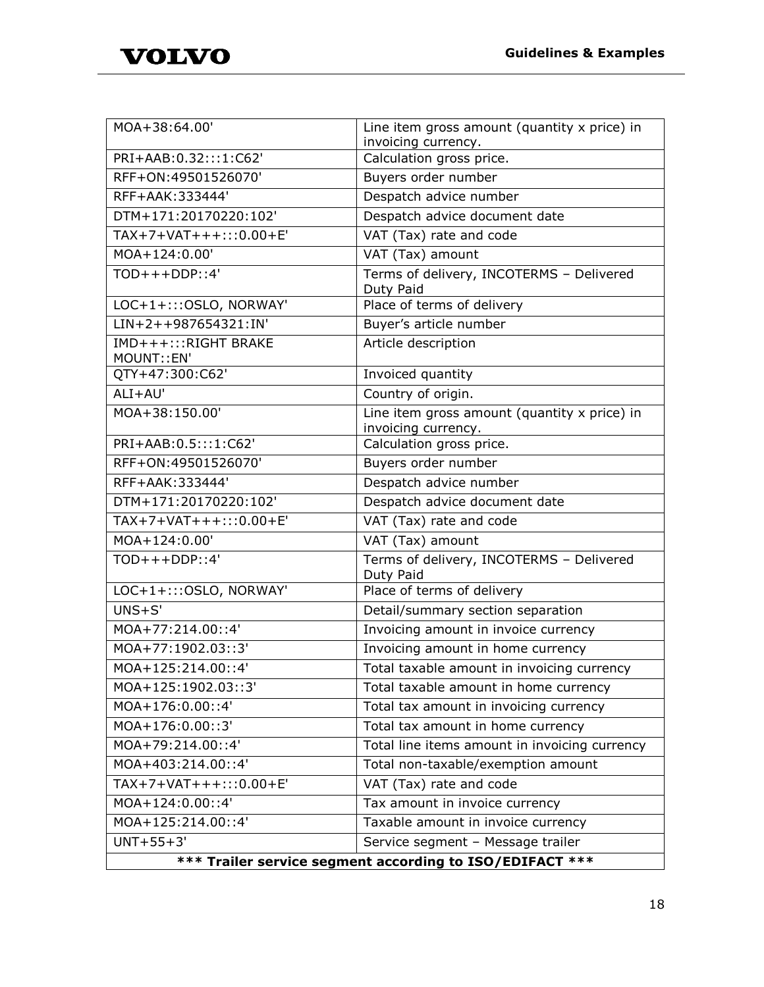

| MOA+38:64.00'                                            | Line item gross amount (quantity x price) in<br>invoicing currency. |
|----------------------------------------------------------|---------------------------------------------------------------------|
| PRI+AAB:0.32:::1:C62'                                    | Calculation gross price.                                            |
| RFF+ON:49501526070'                                      | Buyers order number                                                 |
| RFF+AAK: 333444'                                         | Despatch advice number                                              |
| DTM+171:20170220:102'                                    | Despatch advice document date                                       |
| $TAX+7+VAT+++:::0.00+E'$                                 | VAT (Tax) rate and code                                             |
| MOA+124:0.00'                                            | VAT (Tax) amount                                                    |
| $TOP++DDP::4'$                                           | Terms of delivery, INCOTERMS - Delivered<br>Duty Paid               |
| LOC+1+::: OSLO, NORWAY'                                  | Place of terms of delivery                                          |
| LIN+2++987654321:IN'                                     | Buyer's article number                                              |
| IMD+++:::RIGHT BRAKE<br>MOUNT:: EN'                      | Article description                                                 |
| QTY+47:300:C62'                                          | Invoiced quantity                                                   |
| ALI+AU'                                                  | Country of origin.                                                  |
| MOA+38:150.00'                                           | Line item gross amount (quantity x price) in<br>invoicing currency. |
| PRI+AAB:0.5:::1:C62'                                     | Calculation gross price.                                            |
| RFF+ON:49501526070'                                      | Buyers order number                                                 |
| RFF+AAK: 333444'                                         | Despatch advice number                                              |
| DTM+171:20170220:102'                                    | Despatch advice document date                                       |
| TAX+7+VAT+++:::0.00+E'                                   | VAT (Tax) rate and code                                             |
| MOA+124:0.00'                                            | VAT (Tax) amount                                                    |
| TOP::4'                                                  | Terms of delivery, INCOTERMS - Delivered<br>Duty Paid               |
| LOC+1+::: OSLO, NORWAY'                                  | Place of terms of delivery                                          |
| $UNS + S'$                                               | Detail/summary section separation                                   |
| MOA+77:214.00::4'                                        | Invoicing amount in invoice currency                                |
| MOA+77:1902.03::3'                                       | Invoicing amount in home currency                                   |
| MOA+125:214.00::4'                                       | Total taxable amount in invoicing currency                          |
| MOA+125:1902.03::3'                                      | Total taxable amount in home currency                               |
| MOA+176:0.00::4'                                         | Total tax amount in invoicing currency                              |
| MOA+176:0.00::3'                                         | Total tax amount in home currency                                   |
| MOA+79:214.00::4'                                        | Total line items amount in invoicing currency                       |
| MOA+403:214.00::4'                                       | Total non-taxable/exemption amount                                  |
| $TAX+7+VAT+++:::0.00+E'$                                 | VAT (Tax) rate and code                                             |
| MOA+124:0.00::4'                                         | Tax amount in invoice currency                                      |
| MOA+125:214.00::4'                                       | Taxable amount in invoice currency                                  |
| $UNT+55+3'$                                              | Service segment - Message trailer                                   |
| *** Trailer service segment according to ISO/EDIFACT *** |                                                                     |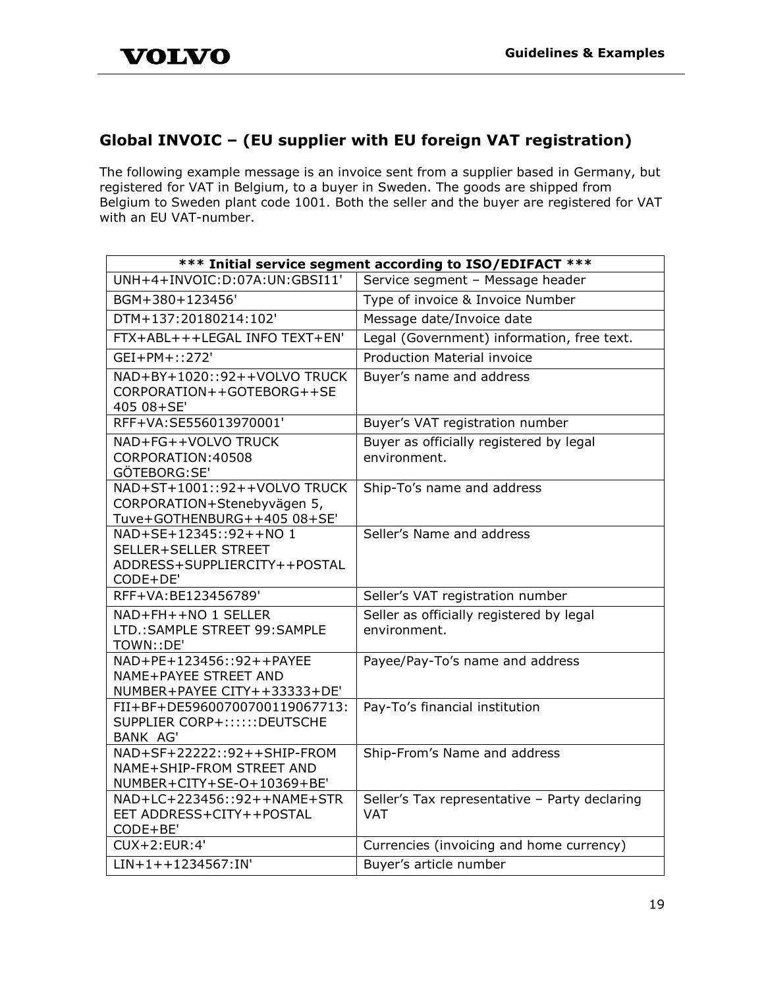# <span id="page-19-0"></span>**Global INVOIC – (EU supplier with EU foreign VAT registration)**

The following example message is an invoice sent from a supplier based in Germany, but registered for VAT in Belgium, to a buyer in Sweden. The goods are shipped from Belgium to Sweden plant code 1001. Both the seller and the buyer are registered for VAT with an EU VAT-number.

| *** Initial service segment according to ISO/EDIFACT ***                                   |                                                             |
|--------------------------------------------------------------------------------------------|-------------------------------------------------------------|
| UNH+4+INVOIC:D:07A:UN:GBSI11'                                                              | Service segment - Message header                            |
| BGM+380+123456'                                                                            | Type of invoice & Invoice Number                            |
| DTM+137:20180214:102'                                                                      | Message date/Invoice date                                   |
| FTX+ABL+++LEGAL INFO TEXT+EN'                                                              | Legal (Government) information, free text.                  |
| GEI+PM+::272'                                                                              | <b>Production Material invoice</b>                          |
| NAD+BY+1020::92++VOLVO TRUCK<br>CORPORATION++GOTEBORG++SE<br>405 08+SE'                    | Buyer's name and address                                    |
| RFF+VA:SE556013970001'                                                                     | Buyer's VAT registration number                             |
| NAD+FG++VOLVO TRUCK<br>CORPORATION: 40508<br>GÖTEBORG:SE'                                  | Buyer as officially registered by legal<br>environment.     |
| NAD+ST+1001::92++VOLVO TRUCK<br>CORPORATION+Stenebyvägen 5,<br>Tuve+GOTHENBURG++405 08+SE' | Ship-To's name and address                                  |
| NAD+SE+12345::92++NO 1<br>SELLER+SELLER STREET<br>ADDRESS+SUPPLIERCITY++POSTAL<br>CODE+DE' | Seller's Name and address                                   |
| RFF+VA:BE123456789'                                                                        | Seller's VAT registration number                            |
| NAD+FH++NO 1 SELLER<br>LTD.: SAMPLE STREET 99: SAMPLE<br>TOWN::DE'                         | Seller as officially registered by legal<br>environment.    |
| NAD+PE+123456::92++PAYEE<br><b>NAME+PAYEE STREET AND</b><br>NUMBER+PAYEE CITY++33333+DE'   | Payee/Pay-To's name and address                             |
| FII+BF+DE59600700700119067713:<br>SUPPLIER CORP+::::::DEUTSCHE<br><b>BANK AG'</b>          | Pay-To's financial institution                              |
| NAD+SF+22222::92++SHIP-FROM<br>NAME+SHIP-FROM STREET AND<br>NUMBER+CITY+SE-O+10369+BE'     | Ship-From's Name and address                                |
| NAD+LC+223456::92++NAME+STR<br>EET ADDRESS+CITY++POSTAL<br>CODE+BE'                        | Seller's Tax representative - Party declaring<br><b>VAT</b> |
| CUX+2:EUR:4'                                                                               | Currencies (invoicing and home currency)                    |
| $LIN+1++1234567:IN'$                                                                       | Buyer's article number                                      |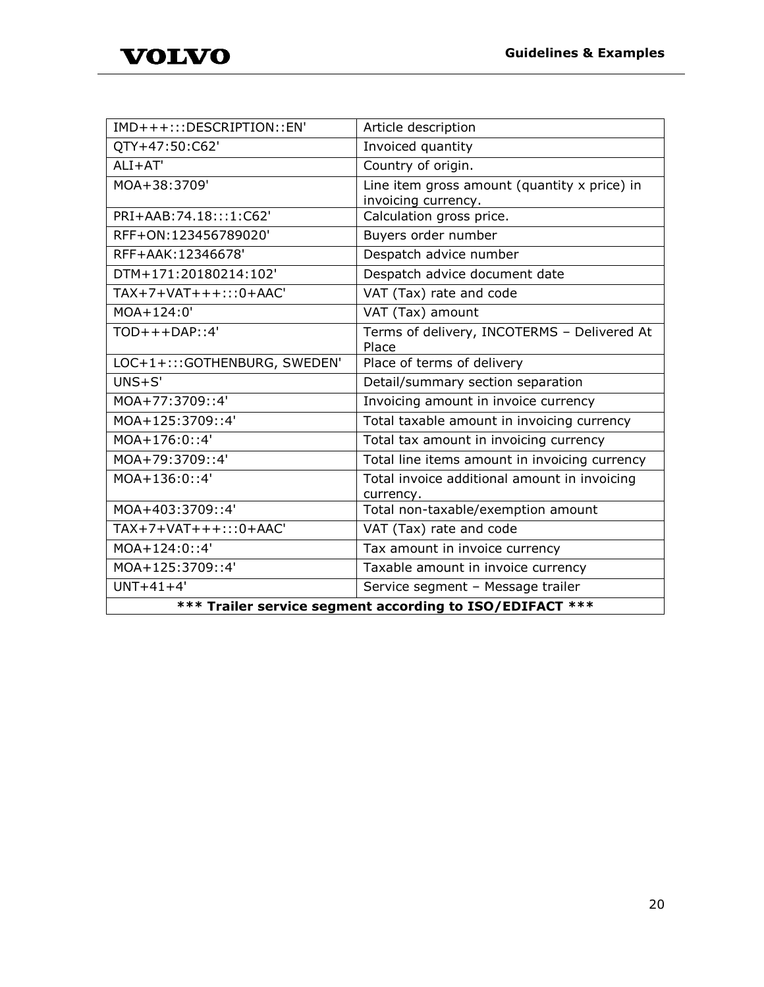| IMD+++:::DESCRIPTION::EN'                                | Article description                                                 |
|----------------------------------------------------------|---------------------------------------------------------------------|
| QTY+47:50:C62'                                           | Invoiced quantity                                                   |
| $ALI+AT'$                                                | Country of origin.                                                  |
| MOA+38:3709'                                             | Line item gross amount (quantity x price) in<br>invoicing currency. |
| PRI+AAB:74.18:::1:C62'                                   | Calculation gross price.                                            |
| RFF+ON:123456789020'                                     | Buyers order number                                                 |
| RFF+AAK: 12346678'                                       | Despatch advice number                                              |
| DTM+171:20180214:102'                                    | Despatch advice document date                                       |
| $TAX+7+VAT+++$ ::0+AAC'                                  | VAT (Tax) rate and code                                             |
| MOA+124:0'                                               | VAT (Tax) amount                                                    |
| $TOD+++DAP$ ::4'                                         | Terms of delivery, INCOTERMS - Delivered At<br>Place                |
| LOC+1+:::GOTHENBURG, SWEDEN'                             | Place of terms of delivery                                          |
| $UNS + S'$                                               | Detail/summary section separation                                   |
| MOA+77:3709::4'                                          | Invoicing amount in invoice currency                                |
| MOA+125:3709::4'                                         | Total taxable amount in invoicing currency                          |
| $MOA+176:0:34'$                                          | Total tax amount in invoicing currency                              |
| MOA+79:3709::4'                                          | Total line items amount in invoicing currency                       |
| $MOA+136:0:34'$                                          | Total invoice additional amount in invoicing<br>currency.           |
| MOA+403:3709::4'                                         | Total non-taxable/exemption amount                                  |
| $TAX+7+VAT+++$ ::0+AAC'                                  | VAT (Tax) rate and code                                             |
| $MOA+124:0:34'$                                          | Tax amount in invoice currency                                      |
| MOA+125:3709::4'                                         | Taxable amount in invoice currency                                  |
| $UNT+41+4'$                                              | Service segment - Message trailer                                   |
| *** Trailer service segment according to ISO/EDIFACT *** |                                                                     |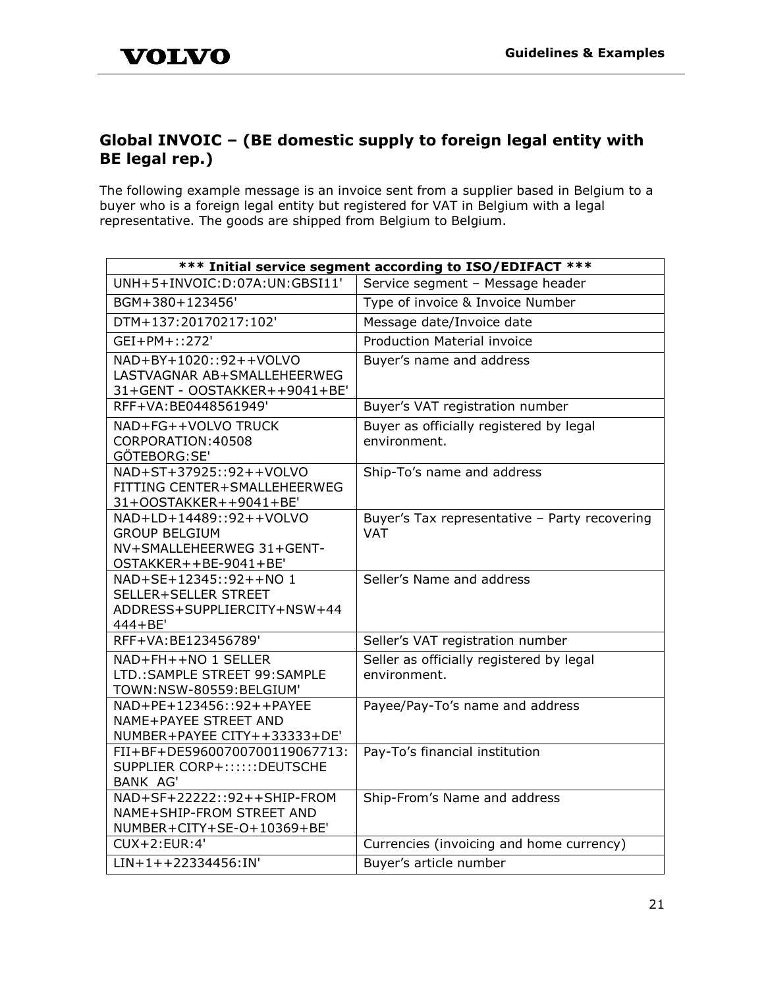# <span id="page-21-0"></span>**Global INVOIC – (BE domestic supply to foreign legal entity with BE legal rep.)**

The following example message is an invoice sent from a supplier based in Belgium to a buyer who is a foreign legal entity but registered for VAT in Belgium with a legal representative. The goods are shipped from Belgium to Belgium.

| *** Initial service segment according to ISO/EDIFACT ***                                              |                                                             |
|-------------------------------------------------------------------------------------------------------|-------------------------------------------------------------|
| UNH+5+INVOIC:D:07A:UN:GBSI11'                                                                         | Service segment - Message header                            |
| BGM+380+123456'                                                                                       | Type of invoice & Invoice Number                            |
| DTM+137:20170217:102'                                                                                 | Message date/Invoice date                                   |
| GEI+PM+::272'                                                                                         | <b>Production Material invoice</b>                          |
| NAD+BY+1020::92++VOLVO<br>LASTVAGNAR AB+SMALLEHEERWEG<br>31+GENT - OOSTAKKER++9041+BE'                | Buyer's name and address                                    |
| RFF+VA:BE0448561949'                                                                                  | Buyer's VAT registration number                             |
| NAD+FG++VOLVO TRUCK<br>CORPORATION: 40508<br>GÖTEBORG:SE'                                             | Buyer as officially registered by legal<br>environment.     |
| NAD+ST+37925::92++VOLVO<br>FITTING CENTER+SMALLEHEERWEG<br>31+OOSTAKKER++9041+BE'                     | Ship-To's name and address                                  |
| NAD+LD+14489::92++VOLVO<br><b>GROUP BELGIUM</b><br>NV+SMALLEHEERWEG 31+GENT-<br>OSTAKKER++BE-9041+BE' | Buyer's Tax representative - Party recovering<br><b>VAT</b> |
| NAD+SE+12345::92++NO 1<br>SELLER+SELLER STREET<br>ADDRESS+SUPPLIERCITY+NSW+44<br>444+BE'              | Seller's Name and address                                   |
| RFF+VA:BE123456789'                                                                                   | Seller's VAT registration number                            |
| NAD+FH++NO 1 SELLER<br>LTD.: SAMPLE STREET 99: SAMPLE<br>TOWN:NSW-80559:BELGIUM'                      | Seller as officially registered by legal<br>environment.    |
| NAD+PE+123456::92++PAYEE<br>NAME+PAYEE STREET AND<br>NUMBER+PAYEE CITY++33333+DE'                     | Payee/Pay-To's name and address                             |
| FII+BF+DE59600700700119067713:<br>SUPPLIER CORP+::::::DEUTSCHE<br><b>BANK AG'</b>                     | Pay-To's financial institution                              |
| NAD+SF+22222::92++SHIP-FROM<br>NAME+SHIP-FROM STREET AND<br>NUMBER+CITY+SE-O+10369+BE'                | Ship-From's Name and address                                |
| $CUX+2:EUR:4'$                                                                                        | Currencies (invoicing and home currency)                    |
| $LIN+1++22334456:IN'$                                                                                 | Buyer's article number                                      |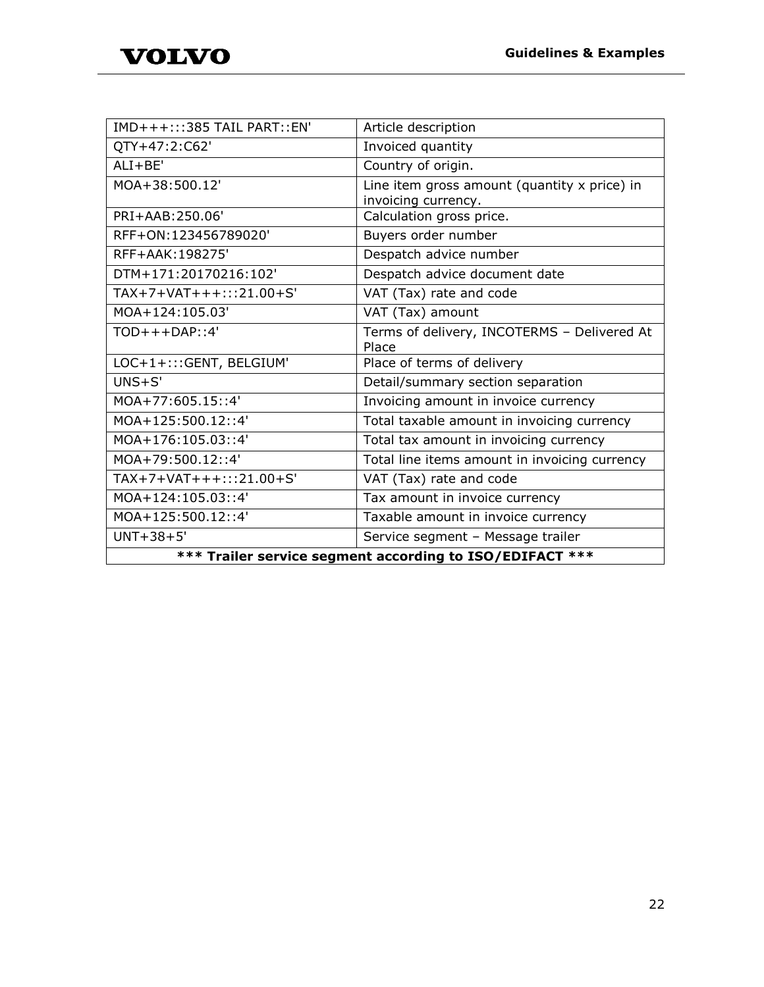| IMD+++:::385 TAIL PART::EN'                              | Article description                           |
|----------------------------------------------------------|-----------------------------------------------|
| QTY+47:2:C62'                                            | Invoiced quantity                             |
| $ALI + BE'$                                              | Country of origin.                            |
| MOA+38:500.12'                                           | Line item gross amount (quantity x price) in  |
|                                                          | invoicing currency.                           |
| PRI+AAB:250.06'                                          | Calculation gross price.                      |
| RFF+ON:123456789020'                                     | Buyers order number                           |
| RFF+AAK: 198275'                                         | Despatch advice number                        |
| DTM+171:20170216:102'                                    | Despatch advice document date                 |
| TAX+7+VAT+++:::21.00+S'                                  | VAT (Tax) rate and code                       |
| MOA+124:105.03'                                          | VAT (Tax) amount                              |
| $TOD+++DAP$ ::4'                                         | Terms of delivery, INCOTERMS - Delivered At   |
|                                                          | Place                                         |
| LOC+1+::: GENT, BELGIUM'                                 | Place of terms of delivery                    |
| $UNS + S'$                                               | Detail/summary section separation             |
| MOA+77:605.15::4'                                        | Invoicing amount in invoice currency          |
| MOA+125:500.12::4'                                       | Total taxable amount in invoicing currency    |
| MOA+176:105.03::4'                                       | Total tax amount in invoicing currency        |
| MOA+79:500.12::4'                                        | Total line items amount in invoicing currency |
| TAX+7+VAT+++:::21.00+S'                                  | VAT (Tax) rate and code                       |
| MOA+124:105.03::4'                                       | Tax amount in invoice currency                |
| MOA+125:500.12::4'                                       | Taxable amount in invoice currency            |
| $UNT+38+5'$                                              | Service segment - Message trailer             |
| *** Trailer service segment according to ISO/EDIFACT *** |                                               |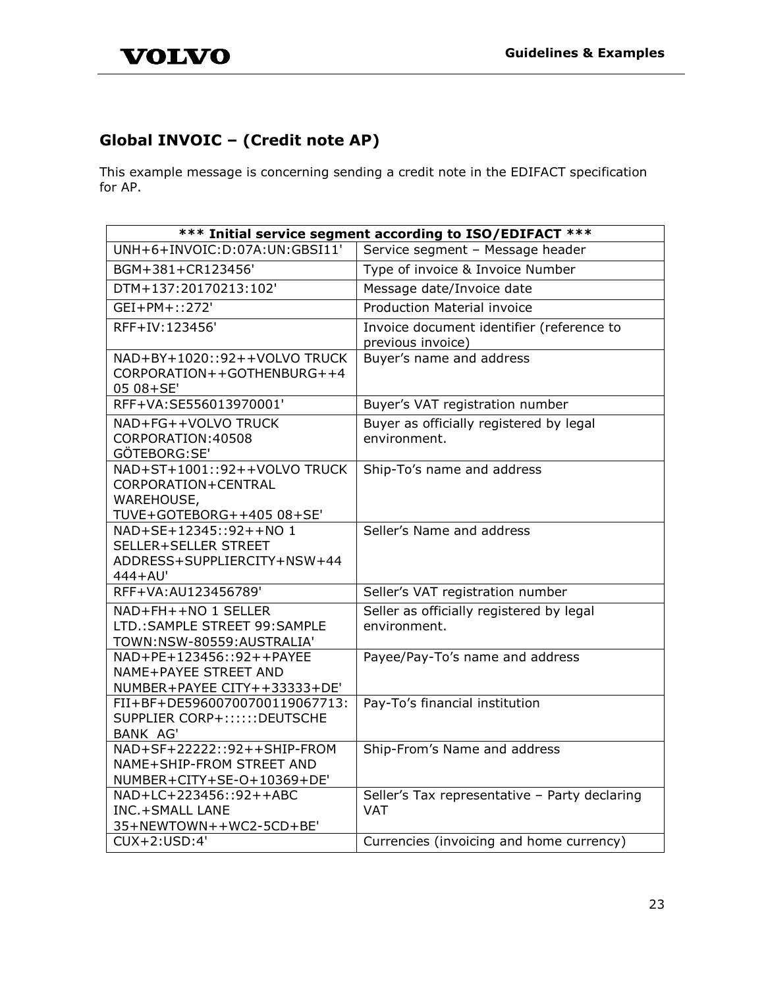# <span id="page-23-0"></span>**Global INVOIC – (Credit note AP)**

This example message is concerning sending a credit note in the EDIFACT specification for AP.

| *** Initial service segment according to ISO/EDIFACT ***                                       |                                                                |
|------------------------------------------------------------------------------------------------|----------------------------------------------------------------|
| UNH+6+INVOIC:D:07A:UN:GBSI11'                                                                  | Service segment - Message header                               |
| BGM+381+CR123456'                                                                              | Type of invoice & Invoice Number                               |
| DTM+137:20170213:102'                                                                          | Message date/Invoice date                                      |
| GEI+PM+::272'                                                                                  | <b>Production Material invoice</b>                             |
| RFF+IV:123456'                                                                                 | Invoice document identifier (reference to<br>previous invoice) |
| NAD+BY+1020::92++VOLVO TRUCK<br>CORPORATION++GOTHENBURG++4<br>05 08+SE'                        | Buyer's name and address                                       |
| RFF+VA:SE556013970001'                                                                         | Buyer's VAT registration number                                |
| NAD+FG++VOLVO TRUCK<br>CORPORATION: 40508<br>GÖTEBORG:SE'                                      | Buyer as officially registered by legal<br>environment.        |
| NAD+ST+1001::92++VOLVO TRUCK<br>CORPORATION+CENTRAL<br>WAREHOUSE,<br>TUVE+GOTEBORG++405 08+SE' | Ship-To's name and address                                     |
| NAD+SE+12345::92++NO 1<br>SELLER+SELLER STREET<br>ADDRESS+SUPPLIERCITY+NSW+44<br>444+AU'       | Seller's Name and address                                      |
| RFF+VA:AU123456789'                                                                            | Seller's VAT registration number                               |
| NAD+FH++NO 1 SELLER<br>LTD.: SAMPLE STREET 99: SAMPLE<br>TOWN:NSW-80559:AUSTRALIA'             | Seller as officially registered by legal<br>environment.       |
| NAD+PE+123456::92++PAYEE<br>NAME+PAYEE STREET AND<br>NUMBER+PAYEE CITY++33333+DE'              | Payee/Pay-To's name and address                                |
| FII+BF+DE59600700700119067713:<br>SUPPLIER CORP+::::::DEUTSCHE<br><b>BANK AG'</b>              | Pay-To's financial institution                                 |
| NAD+SF+22222::92++SHIP-FROM<br>NAME+SHIP-FROM STREET AND<br>NUMBER+CITY+SE-O+10369+DE'         | Ship-From's Name and address                                   |
| NAD+LC+223456::92++ABC<br><b>INC.+SMALL LANE</b><br>35+NEWTOWN++WC2-5CD+BE'                    | Seller's Tax representative - Party declaring<br><b>VAT</b>    |
| CUX+2:USD:4'                                                                                   | Currencies (invoicing and home currency)                       |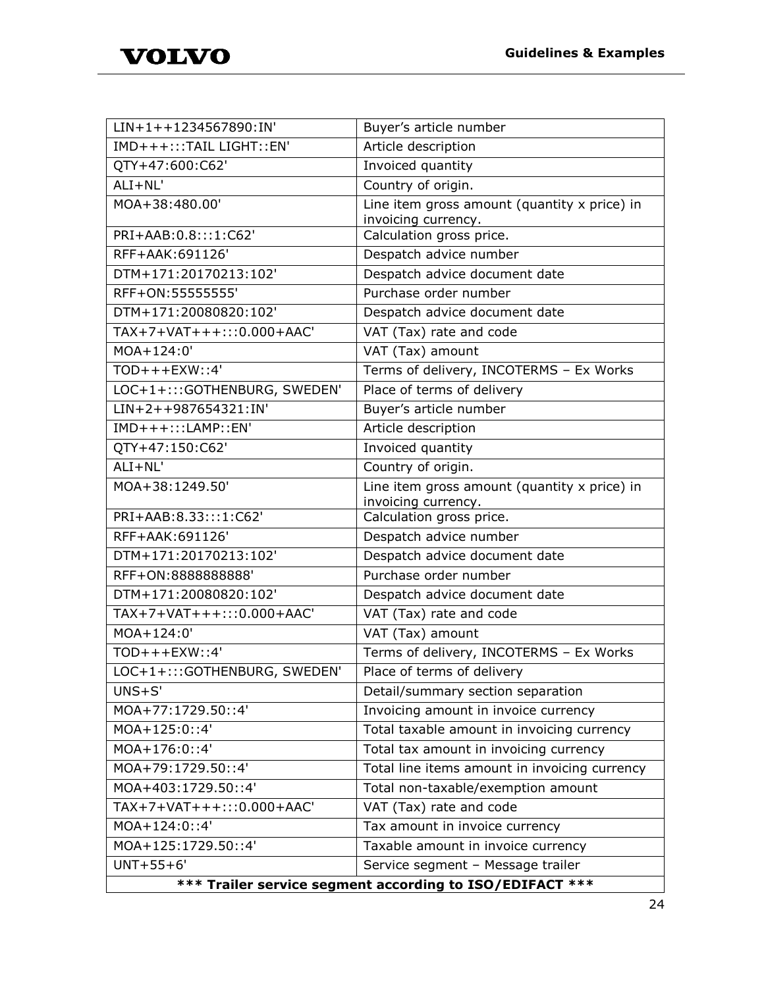| $LIN+1++1234567890:IN'$                                  | Buyer's article number                                              |
|----------------------------------------------------------|---------------------------------------------------------------------|
| IMD+++:::TAIL LIGHT::EN'                                 | Article description                                                 |
| QTY+47:600:C62'                                          | Invoiced quantity                                                   |
| $ALI + NL'$                                              | Country of origin.                                                  |
| MOA+38:480.00'                                           | Line item gross amount (quantity x price) in<br>invoicing currency. |
| PRI+AAB:0.8:::1:C62'                                     | Calculation gross price.                                            |
| RFF+AAK: 691126'                                         | Despatch advice number                                              |
| DTM+171:20170213:102'                                    | Despatch advice document date                                       |
| RFF+ON: 55555555'                                        | Purchase order number                                               |
| DTM+171:20080820:102'                                    | Despatch advice document date                                       |
| TAX+7+VAT+++:::0.000+AAC'                                | VAT (Tax) rate and code                                             |
| MOA+124:0'                                               | VAT (Tax) amount                                                    |
| $TOD+++EXW$ : 4'                                         | Terms of delivery, INCOTERMS - Ex Works                             |
| LOC+1+:::GOTHENBURG, SWEDEN'                             | Place of terms of delivery                                          |
| LIN+2++987654321:IN'                                     | Buyer's article number                                              |
| $IMD+++:::LAMP::EN'$                                     | Article description                                                 |
| QTY+47:150:C62'                                          | Invoiced quantity                                                   |
| $ALI + NL'$                                              | Country of origin.                                                  |
| MOA+38:1249.50'                                          | Line item gross amount (quantity x price) in<br>invoicing currency. |
| PRI+AAB:8.33:::1:C62'                                    | Calculation gross price.                                            |
| RFF+AAK:691126'                                          | Despatch advice number                                              |
| DTM+171:20170213:102'                                    | Despatch advice document date                                       |
| RFF+ON:8888888888'                                       | Purchase order number                                               |
| DTM+171:20080820:102'                                    | Despatch advice document date                                       |
| TAX+7+VAT+++:::0.000+AAC'                                | VAT (Tax) rate and code                                             |
| MOA+124:0'                                               | VAT (Tax) amount                                                    |
| $TOD+++EXW$ ::4'                                         | Terms of delivery, INCOTERMS - Ex Works                             |
| LOC+1+:::GOTHENBURG, SWEDEN'                             | Place of terms of delivery                                          |
| $UNS + S'$                                               | Detail/summary section separation                                   |
| MOA+77:1729.50::4'                                       | Invoicing amount in invoice currency                                |
| MOA+125:0::4'                                            | Total taxable amount in invoicing currency                          |
| $MOA + 176:0:34'$                                        | Total tax amount in invoicing currency                              |
| MOA+79:1729.50::4'                                       | Total line items amount in invoicing currency                       |
| MOA+403:1729.50::4'                                      | Total non-taxable/exemption amount                                  |
| TAX+7+VAT+++:::0.000+AAC'                                | VAT (Tax) rate and code                                             |
| MOA+124:0::4'                                            | Tax amount in invoice currency                                      |
| MOA+125:1729.50::4'                                      | Taxable amount in invoice currency                                  |
| $UNT+55+6'$                                              | Service segment - Message trailer                                   |
| *** Trailer service segment according to ISO/EDIFACT *** |                                                                     |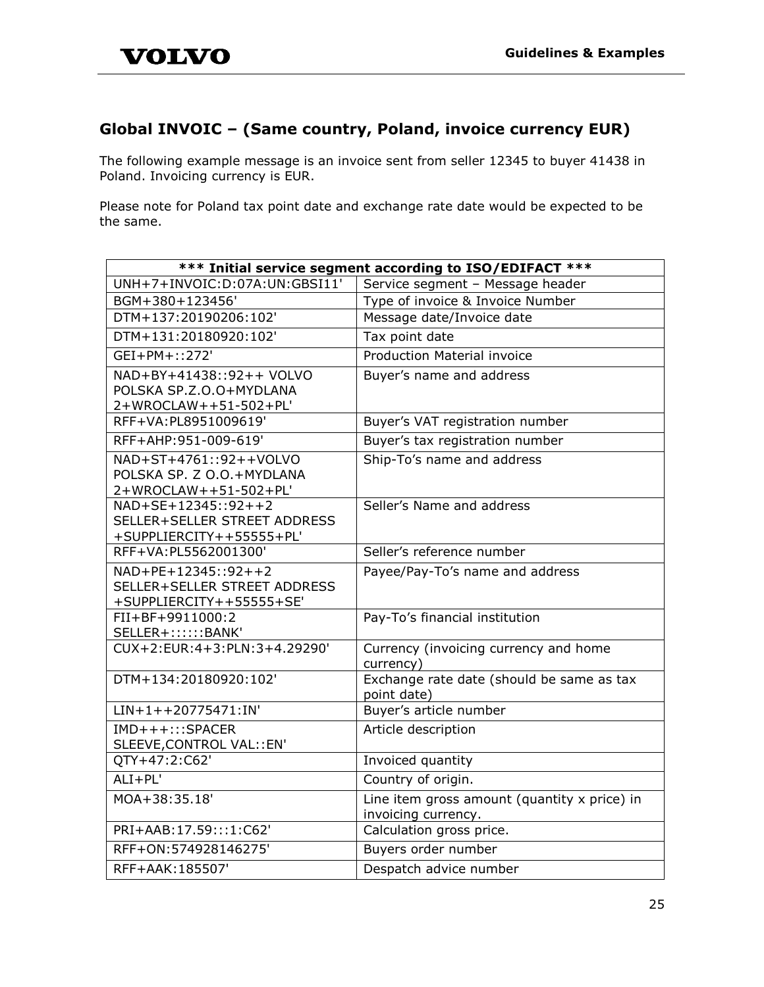### <span id="page-25-0"></span>**Global INVOIC – (Same country, Poland, invoice currency EUR)**

The following example message is an invoice sent from seller 12345 to buyer 41438 in Poland. Invoicing currency is EUR.

Please note for Poland tax point date and exchange rate date would be expected to be the same.

| *** Initial service segment according to ISO/EDIFACT ***                        |                                                                     |
|---------------------------------------------------------------------------------|---------------------------------------------------------------------|
| UNH+7+INVOIC:D:07A:UN:GBSI11'                                                   | Service segment - Message header                                    |
| BGM+380+123456'                                                                 | Type of invoice & Invoice Number                                    |
| DTM+137:20190206:102'                                                           | Message date/Invoice date                                           |
| DTM+131:20180920:102'                                                           | Tax point date                                                      |
| GEI+PM+::272'                                                                   | <b>Production Material invoice</b>                                  |
| NAD+BY+41438::92++ VOLVO<br>POLSKA SP.Z.O.O+MYDLANA<br>2+WROCLAW++51-502+PL'    | Buyer's name and address                                            |
| RFF+VA:PL8951009619'                                                            | Buyer's VAT registration number                                     |
| RFF+AHP:951-009-619'                                                            | Buyer's tax registration number                                     |
| NAD+ST+4761::92++VOLVO<br>POLSKA SP. Z O.O.+MYDLANA<br>2+WROCLAW++51-502+PL'    | Ship-To's name and address                                          |
| NAD+SE+12345::92++2<br>SELLER+SELLER STREET ADDRESS<br>+SUPPLIERCITY++55555+PL' | Seller's Name and address                                           |
| RFF+VA:PL5562001300'                                                            | Seller's reference number                                           |
| NAD+PE+12345::92++2<br>SELLER+SELLER STREET ADDRESS<br>+SUPPLIERCITY++55555+SE' | Payee/Pay-To's name and address                                     |
| FII+BF+9911000:2<br>SELLER+::::::BANK'                                          | Pay-To's financial institution                                      |
| CUX+2:EUR:4+3:PLN:3+4.29290'                                                    | Currency (invoicing currency and home<br>currency)                  |
| DTM+134:20180920:102'                                                           | Exchange rate date (should be same as tax<br>point date)            |
| $LIN+1++20775471:IN'$                                                           | Buyer's article number                                              |
| IMD+++:::SPACER<br>SLEEVE, CONTROL VAL:: EN'                                    | Article description                                                 |
| QTY+47:2:C62'                                                                   | Invoiced quantity                                                   |
| $ALI+PL'$                                                                       | Country of origin.                                                  |
| MOA+38:35.18'                                                                   | Line item gross amount (quantity x price) in<br>invoicing currency. |
| PRI+AAB:17.59:::1:C62'                                                          | Calculation gross price.                                            |
| RFF+ON: 574928146275'                                                           | Buyers order number                                                 |
| RFF+AAK: 185507'                                                                | Despatch advice number                                              |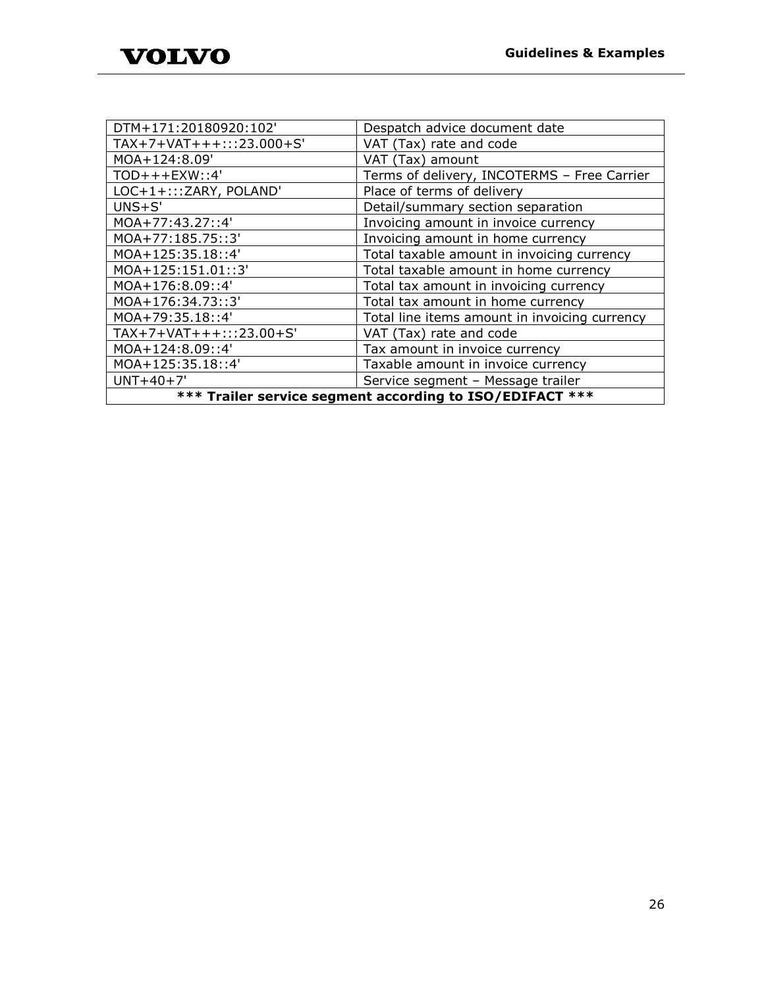| DTM+171:20180920:102'                                    | Despatch advice document date                 |
|----------------------------------------------------------|-----------------------------------------------|
| TAX+7+VAT+++:::23.000+S'                                 | VAT (Tax) rate and code                       |
| MOA+124:8.09'                                            | VAT (Tax) amount                              |
| $TOD+++EXW$ ::4'                                         | Terms of delivery, INCOTERMS - Free Carrier   |
| LOC+1+::: ZARY, POLAND'                                  | Place of terms of delivery                    |
| $UNS + S'$                                               | Detail/summary section separation             |
| MOA+77:43.27::4'                                         | Invoicing amount in invoice currency          |
| MOA+77:185.75::3'                                        | Invoicing amount in home currency             |
| MOA+125:35.18::4'                                        | Total taxable amount in invoicing currency    |
| MOA+125:151.01::3'                                       | Total taxable amount in home currency         |
| MOA+176:8.09::4'                                         | Total tax amount in invoicing currency        |
| MOA+176:34.73::3'                                        | Total tax amount in home currency             |
| MOA+79:35.18::4'                                         | Total line items amount in invoicing currency |
| TAX+7+VAT+++:::23.00+S'                                  | VAT (Tax) rate and code                       |
| MOA+124:8.09::4'                                         | Tax amount in invoice currency                |
| MOA+125:35.18::4'                                        | Taxable amount in invoice currency            |
| $UNT+40+7'$                                              | Service segment - Message trailer             |
| *** Trailer service segment according to ISO/EDIFACT *** |                                               |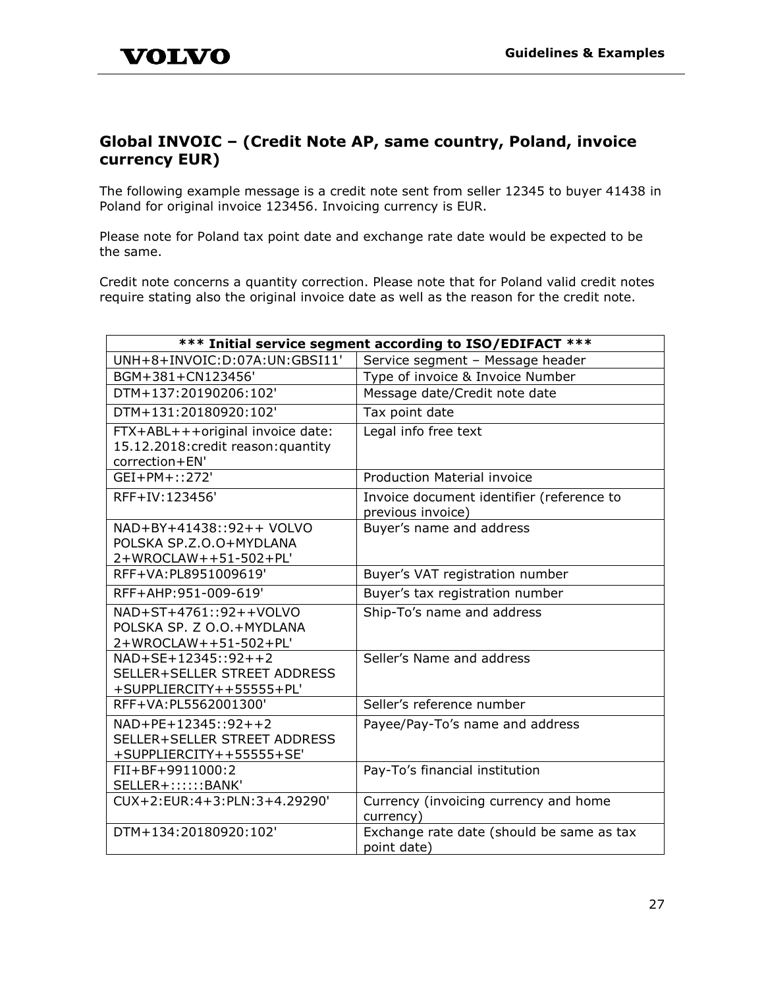### <span id="page-27-0"></span>**Global INVOIC – (Credit Note AP, same country, Poland, invoice currency EUR)**

The following example message is a credit note sent from seller 12345 to buyer 41438 in Poland for original invoice 123456. Invoicing currency is EUR.

Please note for Poland tax point date and exchange rate date would be expected to be the same.

Credit note concerns a quantity correction. Please note that for Poland valid credit notes require stating also the original invoice date as well as the reason for the credit note.

| *** Initial service segment according to ISO/EDIFACT ***                                  |                                                                |
|-------------------------------------------------------------------------------------------|----------------------------------------------------------------|
| UNH+8+INVOIC:D:07A:UN:GBSI11'                                                             | Service segment - Message header                               |
| BGM+381+CN123456'                                                                         | Type of invoice & Invoice Number                               |
| DTM+137:20190206:102'                                                                     | Message date/Credit note date                                  |
| DTM+131:20180920:102'                                                                     | Tax point date                                                 |
| FTX+ABL+++original invoice date:<br>15.12.2018: credit reason: quantity<br>correction+EN' | Legal info free text                                           |
| GEI+PM+::272'                                                                             | <b>Production Material invoice</b>                             |
| RFF+IV:123456'                                                                            | Invoice document identifier (reference to<br>previous invoice) |
| NAD+BY+41438::92++ VOLVO<br>POLSKA SP.Z.O.O+MYDLANA<br>2+WROCLAW++51-502+PL'              | Buyer's name and address                                       |
| RFF+VA: PL8951009619'                                                                     | Buyer's VAT registration number                                |
| RFF+AHP:951-009-619'                                                                      | Buyer's tax registration number                                |
| NAD+ST+4761::92++VOLVO<br>POLSKA SP. Z O.O.+MYDLANA<br>2+WROCLAW++51-502+PL'              | Ship-To's name and address                                     |
| $NAD+SE+12345::92++2$<br>SELLER+SELLER STREET ADDRESS<br>+SUPPLIERCITY++55555+PL'         | Seller's Name and address                                      |
| RFF+VA:PL5562001300'                                                                      | Seller's reference number                                      |
| NAD+PE+12345::92++2<br>SELLER+SELLER STREET ADDRESS<br>+SUPPLIERCITY++55555+SE'           | Payee/Pay-To's name and address                                |
| FII+BF+9911000:2<br>SELLER+::::::BANK'                                                    | Pay-To's financial institution                                 |
| CUX+2:EUR:4+3:PLN:3+4.29290'                                                              | Currency (invoicing currency and home<br>currency)             |
| DTM+134:20180920:102'                                                                     | Exchange rate date (should be same as tax<br>point date)       |